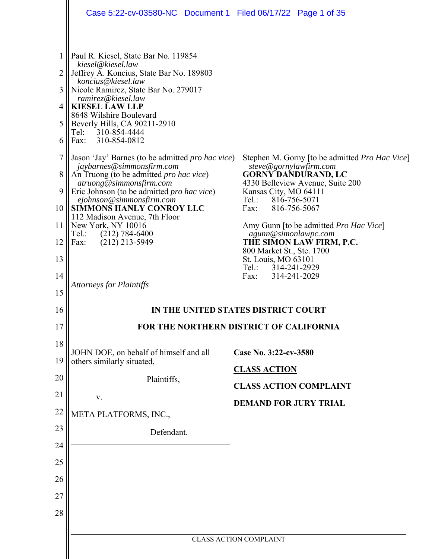|                                                                   | Case 5:22-cv-03580-NC Document 1 Filed 06/17/22 Page 1 of 35                                                                                                                                                                                                                                                                                                                                                                                                                                                                                                                                                                                                                                                                                |                                                                                                                                                                                                                                                                                                                                                                                           |
|-------------------------------------------------------------------|---------------------------------------------------------------------------------------------------------------------------------------------------------------------------------------------------------------------------------------------------------------------------------------------------------------------------------------------------------------------------------------------------------------------------------------------------------------------------------------------------------------------------------------------------------------------------------------------------------------------------------------------------------------------------------------------------------------------------------------------|-------------------------------------------------------------------------------------------------------------------------------------------------------------------------------------------------------------------------------------------------------------------------------------------------------------------------------------------------------------------------------------------|
| 1<br>2<br>3<br>4<br>5<br>6<br>7<br>8<br>9<br>10<br>11<br>12<br>13 | Paul R. Kiesel, State Bar No. 119854<br>kiesel@kiesel.law<br>Jeffrey A. Koncius, State Bar No. 189803<br>koncius@kiesel.law<br>Nicole Ramirez, State Bar No. 279017<br>ramirez@kiesel.law<br><b>KIESEL LAW LLP</b><br>8648 Wilshire Boulevard<br>Beverly Hills, CA 90211-2910<br>310-854-4444<br>Tel:<br>310-854-0812<br>Fax:<br>Jason 'Jay' Barnes (to be admitted <i>pro hac vice</i> )<br>jaybarnes@simmonsfirm.com<br>An Truong (to be admitted <i>pro hac vice</i> )<br>atruong@simmonsfirm.com<br>Eric Johnson (to be admitted <i>pro hac vice</i> )<br>ejohnson@simmonsfirm.com<br><b>SIMMONS HANLY CONROY LLC</b><br>112 Madison Avenue, 7th Floor<br>New York, NY 10016<br>Tel.:<br>$(212) 784 - 6400$<br>$(212)$ 213-5949<br>Fax: | Stephen M. Gorny [to be admitted <i>Pro Hac Vice</i> ]<br>steve@gornylawfirm.com<br><b>GORNY DANDURAND, LC</b><br>4330 Belleview Avenue, Suite 200<br>Kansas City, MO 64111<br>816-756-5071<br>$Tel.$ :<br>Fax:<br>816-756-5067<br>Amy Gunn [to be admitted <i>Pro Hac Vice</i> ]<br>agunn@simonlawpc.com<br>THE SIMON LAW FIRM, P.C.<br>800 Market St., Ste. 1700<br>St. Louis, MO 63101 |
| 14                                                                | <b>Attorneys for Plaintiffs</b>                                                                                                                                                                                                                                                                                                                                                                                                                                                                                                                                                                                                                                                                                                             | Tel.: 314-241-2929<br>Fax:<br>314-241-2029                                                                                                                                                                                                                                                                                                                                                |
| 15                                                                |                                                                                                                                                                                                                                                                                                                                                                                                                                                                                                                                                                                                                                                                                                                                             |                                                                                                                                                                                                                                                                                                                                                                                           |
| 16                                                                | IN THE UNITED STATES DISTRICT COURT                                                                                                                                                                                                                                                                                                                                                                                                                                                                                                                                                                                                                                                                                                         |                                                                                                                                                                                                                                                                                                                                                                                           |
| 17                                                                |                                                                                                                                                                                                                                                                                                                                                                                                                                                                                                                                                                                                                                                                                                                                             | FOR THE NORTHERN DISTRICT OF CALIFORNIA                                                                                                                                                                                                                                                                                                                                                   |
| 18<br>19                                                          | JOHN DOE, on behalf of himself and all<br>others similarly situated,                                                                                                                                                                                                                                                                                                                                                                                                                                                                                                                                                                                                                                                                        | Case No. 3:22-cv-3580<br><b>CLASS ACTION</b>                                                                                                                                                                                                                                                                                                                                              |
| 20                                                                | Plaintiffs,                                                                                                                                                                                                                                                                                                                                                                                                                                                                                                                                                                                                                                                                                                                                 | <b>CLASS ACTION COMPLAINT</b>                                                                                                                                                                                                                                                                                                                                                             |
| 21                                                                | V.                                                                                                                                                                                                                                                                                                                                                                                                                                                                                                                                                                                                                                                                                                                                          | <b>DEMAND FOR JURY TRIAL</b>                                                                                                                                                                                                                                                                                                                                                              |
| 22                                                                | META PLATFORMS, INC.,                                                                                                                                                                                                                                                                                                                                                                                                                                                                                                                                                                                                                                                                                                                       |                                                                                                                                                                                                                                                                                                                                                                                           |
| 23                                                                | Defendant.                                                                                                                                                                                                                                                                                                                                                                                                                                                                                                                                                                                                                                                                                                                                  |                                                                                                                                                                                                                                                                                                                                                                                           |
| 24                                                                |                                                                                                                                                                                                                                                                                                                                                                                                                                                                                                                                                                                                                                                                                                                                             |                                                                                                                                                                                                                                                                                                                                                                                           |
| 25                                                                |                                                                                                                                                                                                                                                                                                                                                                                                                                                                                                                                                                                                                                                                                                                                             |                                                                                                                                                                                                                                                                                                                                                                                           |
| 26                                                                |                                                                                                                                                                                                                                                                                                                                                                                                                                                                                                                                                                                                                                                                                                                                             |                                                                                                                                                                                                                                                                                                                                                                                           |
| 27                                                                |                                                                                                                                                                                                                                                                                                                                                                                                                                                                                                                                                                                                                                                                                                                                             |                                                                                                                                                                                                                                                                                                                                                                                           |
| 28                                                                |                                                                                                                                                                                                                                                                                                                                                                                                                                                                                                                                                                                                                                                                                                                                             |                                                                                                                                                                                                                                                                                                                                                                                           |
|                                                                   |                                                                                                                                                                                                                                                                                                                                                                                                                                                                                                                                                                                                                                                                                                                                             | <b>CLASS ACTION COMPLAINT</b>                                                                                                                                                                                                                                                                                                                                                             |
|                                                                   |                                                                                                                                                                                                                                                                                                                                                                                                                                                                                                                                                                                                                                                                                                                                             |                                                                                                                                                                                                                                                                                                                                                                                           |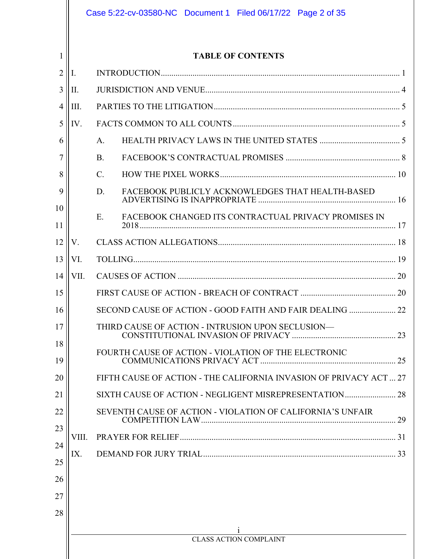|          |       | Case 5:22-cv-03580-NC Document 1 Filed 06/17/22 Page 2 of 35       |
|----------|-------|--------------------------------------------------------------------|
| 1        |       | <b>TABLE OF CONTENTS</b>                                           |
| 2        | I.    |                                                                    |
| 3        | Π.    |                                                                    |
| 4        | Ш.    |                                                                    |
| 5        | IV.   |                                                                    |
| 6        |       | A.                                                                 |
|          |       | <b>B.</b>                                                          |
| 8        |       | C.                                                                 |
| 9        |       | FACEBOOK PUBLICLY ACKNOWLEDGES THAT HEALTH-BASED<br>D.             |
| 10       |       | FACEBOOK CHANGED ITS CONTRACTUAL PRIVACY PROMISES IN<br>E.         |
| 11       |       |                                                                    |
| 12       | V.    |                                                                    |
| 13       | VI.   |                                                                    |
| 14       | VII.  |                                                                    |
| 15       |       |                                                                    |
| 16       |       | SECOND CAUSE OF ACTION - GOOD FAITH AND FAIR DEALING  22           |
| 17       |       | THIRD CAUSE OF ACTION - INTRUSION UPON SECLUSION-                  |
| 18       |       | FOURTH CAUSE OF ACTION - VIOLATION OF THE ELECTRONIC               |
| 19       |       |                                                                    |
| 20       |       | FIFTH CAUSE OF ACTION - THE CALIFORNIA INVASION OF PRIVACY ACT  27 |
| 21       |       |                                                                    |
| 22       |       | SEVENTH CAUSE OF ACTION - VIOLATION OF CALIFORNIA'S UNFAIR         |
| 23       | VIII. |                                                                    |
| 24<br>25 | IX.   |                                                                    |
| 26       |       |                                                                    |
| 27       |       |                                                                    |
| 28       |       |                                                                    |
|          |       |                                                                    |
|          |       | <b>CLASS ACTION COMPLAINT</b>                                      |
|          |       |                                                                    |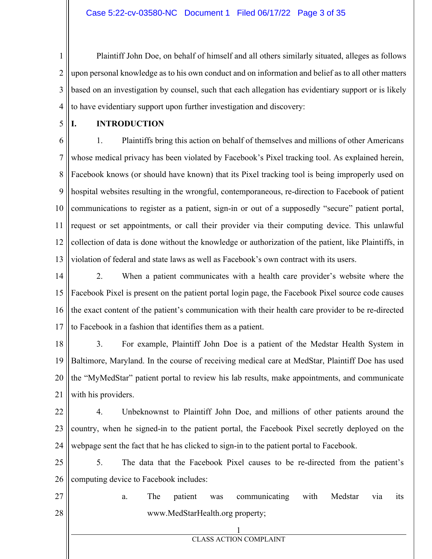1 2 3 4 Plaintiff John Doe, on behalf of himself and all others similarly situated, alleges as follows upon personal knowledge as to his own conduct and on information and belief as to all other matters based on an investigation by counsel, such that each allegation has evidentiary support or is likely to have evidentiary support upon further investigation and discovery:

5

## **I. INTRODUCTION**

6 7 8 9 10 11 12 13 1. Plaintiffs bring this action on behalf of themselves and millions of other Americans whose medical privacy has been violated by Facebook's Pixel tracking tool. As explained herein, Facebook knows (or should have known) that its Pixel tracking tool is being improperly used on hospital websites resulting in the wrongful, contemporaneous, re-direction to Facebook of patient communications to register as a patient, sign-in or out of a supposedly "secure" patient portal, request or set appointments, or call their provider via their computing device. This unlawful collection of data is done without the knowledge or authorization of the patient, like Plaintiffs, in violation of federal and state laws as well as Facebook's own contract with its users.

14 15 16 17 2. When a patient communicates with a health care provider's website where the Facebook Pixel is present on the patient portal login page, the Facebook Pixel source code causes the exact content of the patient's communication with their health care provider to be re-directed to Facebook in a fashion that identifies them as a patient.

18 19 20 21 3. For example, Plaintiff John Doe is a patient of the Medstar Health System in Baltimore, Maryland. In the course of receiving medical care at MedStar, Plaintiff Doe has used the "MyMedStar" patient portal to review his lab results, make appointments, and communicate with his providers.

22 23 24 4. Unbeknownst to Plaintiff John Doe, and millions of other patients around the country, when he signed-in to the patient portal, the Facebook Pixel secretly deployed on the webpage sent the fact that he has clicked to sign-in to the patient portal to Facebook.

25 26 5. The data that the Facebook Pixel causes to be re-directed from the patient's computing device to Facebook includes:

27 28 a. The patient was communicating with Medstar via its www.MedStarHealth.org property;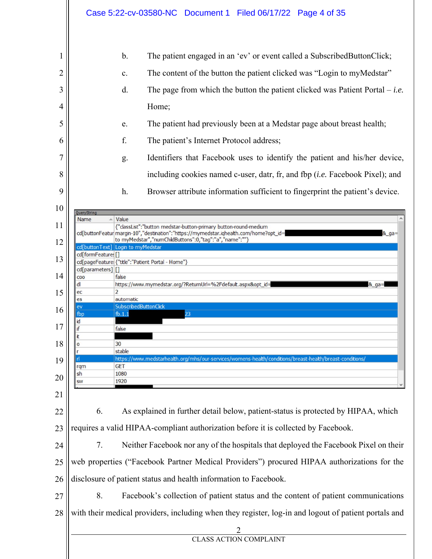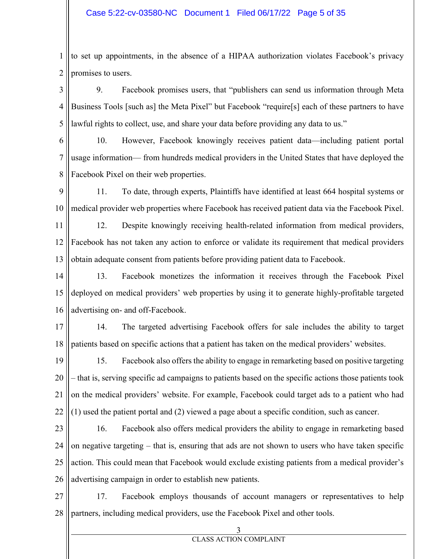1 2 to set up appointments, in the absence of a HIPAA authorization violates Facebook's privacy promises to users.

3 4 5 9. Facebook promises users, that "publishers can send us information through Meta Business Tools [such as] the Meta Pixel" but Facebook "require[s] each of these partners to have lawful rights to collect, use, and share your data before providing any data to us."

6

7

8

10. However, Facebook knowingly receives patient data—including patient portal usage information— from hundreds medical providers in the United States that have deployed the Facebook Pixel on their web properties.

9 10 11. To date, through experts, Plaintiffs have identified at least 664 hospital systems or medical provider web properties where Facebook has received patient data via the Facebook Pixel.

11 12 13 12. Despite knowingly receiving health-related information from medical providers, Facebook has not taken any action to enforce or validate its requirement that medical providers obtain adequate consent from patients before providing patient data to Facebook.

14 15 16 13. Facebook monetizes the information it receives through the Facebook Pixel deployed on medical providers' web properties by using it to generate highly-profitable targeted advertising on- and off-Facebook.

17 18 14. The targeted advertising Facebook offers for sale includes the ability to target patients based on specific actions that a patient has taken on the medical providers' websites.

19 20 21 22 15. Facebook also offers the ability to engage in remarketing based on positive targeting – that is, serving specific ad campaigns to patients based on the specific actions those patients took on the medical providers' website. For example, Facebook could target ads to a patient who had (1) used the patient portal and (2) viewed a page about a specific condition, such as cancer.

23 24 25 26 16. Facebook also offers medical providers the ability to engage in remarketing based on negative targeting – that is, ensuring that ads are not shown to users who have taken specific action. This could mean that Facebook would exclude existing patients from a medical provider's advertising campaign in order to establish new patients.

27 28 17. Facebook employs thousands of account managers or representatives to help partners, including medical providers, use the Facebook Pixel and other tools.

3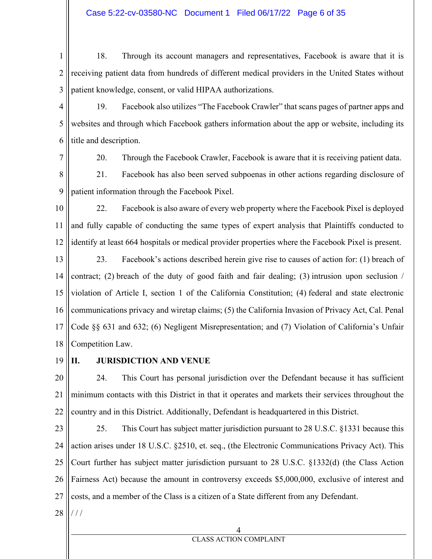1 2 3 18. Through its account managers and representatives, Facebook is aware that it is receiving patient data from hundreds of different medical providers in the United States without patient knowledge, consent, or valid HIPAA authorizations.

- 4 5 6 19. Facebook also utilizes "The Facebook Crawler" that scans pages of partner apps and websites and through which Facebook gathers information about the app or website, including its title and description.
- 7

20. Through the Facebook Crawler, Facebook is aware that it is receiving patient data.

8 9 21. Facebook has also been served subpoenas in other actions regarding disclosure of patient information through the Facebook Pixel.

10 11 12 22. Facebook is also aware of every web property where the Facebook Pixel is deployed and fully capable of conducting the same types of expert analysis that Plaintiffs conducted to identify at least 664 hospitals or medical provider properties where the Facebook Pixel is present.

13 14 15 16 17 18 23. Facebook's actions described herein give rise to causes of action for: (1) breach of contract; (2) breach of the duty of good faith and fair dealing; (3) intrusion upon seclusion / violation of Article I, section 1 of the California Constitution; (4) federal and state electronic communications privacy and wiretap claims; (5) the California Invasion of Privacy Act, Cal. Penal Code §§ 631 and 632; (6) Negligent Misrepresentation; and (7) Violation of California's Unfair Competition Law.

19

## **II. JURISDICTION AND VENUE**

20 21 22 24. This Court has personal jurisdiction over the Defendant because it has sufficient minimum contacts with this District in that it operates and markets their services throughout the country and in this District. Additionally, Defendant is headquartered in this District.

23 24 25 26 27 25. This Court has subject matter jurisdiction pursuant to 28 U.S.C. §1331 because this action arises under 18 U.S.C. §2510, et. seq., (the Electronic Communications Privacy Act). This Court further has subject matter jurisdiction pursuant to 28 U.S.C. §1332(d) (the Class Action Fairness Act) because the amount in controversy exceeds \$5,000,000, exclusive of interest and costs, and a member of the Class is a citizen of a State different from any Defendant.

28 / / /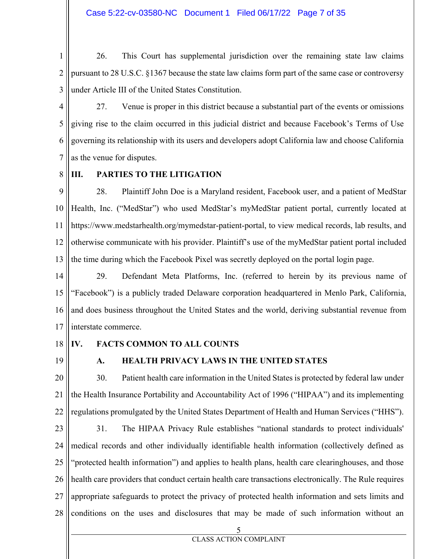1 2 3 26. This Court has supplemental jurisdiction over the remaining state law claims pursuant to 28 U.S.C. §1367 because the state law claims form part of the same case or controversy under Article III of the United States Constitution.

4

5 6 7 27. Venue is proper in this district because a substantial part of the events or omissions giving rise to the claim occurred in this judicial district and because Facebook's Terms of Use governing its relationship with its users and developers adopt California law and choose California as the venue for disputes.

8

## **III. PARTIES TO THE LITIGATION**

9 10 11 12 13 28. Plaintiff John Doe is a Maryland resident, Facebook user, and a patient of MedStar Health, Inc. ("MedStar") who used MedStar's myMedStar patient portal, currently located at https://www.medstarhealth.org/mymedstar-patient-portal, to view medical records, lab results, and otherwise communicate with his provider. Plaintiff's use of the myMedStar patient portal included the time during which the Facebook Pixel was secretly deployed on the portal login page.

14 15 16 17 29. Defendant Meta Platforms, Inc. (referred to herein by its previous name of "Facebook") is a publicly traded Delaware corporation headquartered in Menlo Park, California, and does business throughout the United States and the world, deriving substantial revenue from interstate commerce.

18

## **IV. FACTS COMMON TO ALL COUNTS**

19

## **A. HEALTH PRIVACY LAWS IN THE UNITED STATES**

20 21 22 30. Patient health care information in the United States is protected by federal law under the Health Insurance Portability and Accountability Act of 1996 ("HIPAA") and its implementing regulations promulgated by the United States Department of Health and Human Services ("HHS").

23 24 25 26 27 28 31. The HIPAA Privacy Rule establishes "national standards to protect individuals' medical records and other individually identifiable health information (collectively defined as "protected health information") and applies to health plans, health care clearinghouses, and those health care providers that conduct certain health care transactions electronically. The Rule requires appropriate safeguards to protect the privacy of protected health information and sets limits and conditions on the uses and disclosures that may be made of such information without an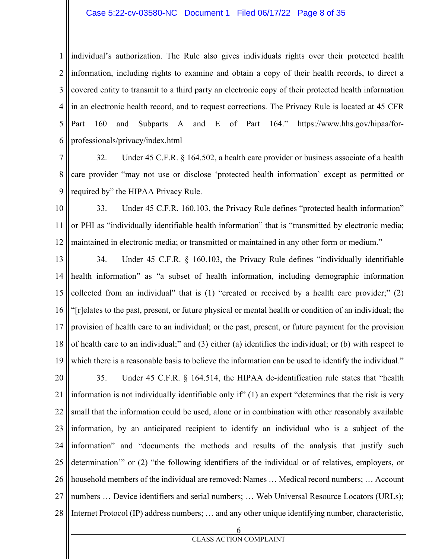#### Case 5:22-cv-03580-NC Document 1 Filed 06/17/22 Page 8 of 35

1 2 3 4 5 6 individual's authorization. The Rule also gives individuals rights over their protected health information, including rights to examine and obtain a copy of their health records, to direct a covered entity to transmit to a third party an electronic copy of their protected health information in an electronic health record, and to request corrections. The Privacy Rule is located at 45 CFR Part 160 and Subparts A and E of Part 164." https://www.hhs.gov/hipaa/forprofessionals/privacy/index.html

7 8 9 32. Under 45 C.F.R. § 164.502, a health care provider or business associate of a health care provider "may not use or disclose 'protected health information' except as permitted or required by" the HIPAA Privacy Rule.

10 11 12 33. Under 45 C.F.R. 160.103, the Privacy Rule defines "protected health information" or PHI as "individually identifiable health information" that is "transmitted by electronic media; maintained in electronic media; or transmitted or maintained in any other form or medium."

13 14 15 16 17 18 19 34. Under 45 C.F.R. § 160.103, the Privacy Rule defines "individually identifiable health information" as "a subset of health information, including demographic information collected from an individual" that is (1) "created or received by a health care provider;" (2) "[r]elates to the past, present, or future physical or mental health or condition of an individual; the provision of health care to an individual; or the past, present, or future payment for the provision of health care to an individual;" and (3) either (a) identifies the individual; or (b) with respect to which there is a reasonable basis to believe the information can be used to identify the individual."

20 21 22 23 24 25 26 27 28 35. Under 45 C.F.R. § 164.514, the HIPAA de-identification rule states that "health information is not individually identifiable only if" (1) an expert "determines that the risk is very small that the information could be used, alone or in combination with other reasonably available information, by an anticipated recipient to identify an individual who is a subject of the information" and "documents the methods and results of the analysis that justify such determination'" or (2) "the following identifiers of the individual or of relatives, employers, or household members of the individual are removed: Names … Medical record numbers; … Account numbers ... Device identifiers and serial numbers; ... Web Universal Resource Locators (URLs); Internet Protocol (IP) address numbers; … and any other unique identifying number, characteristic,

6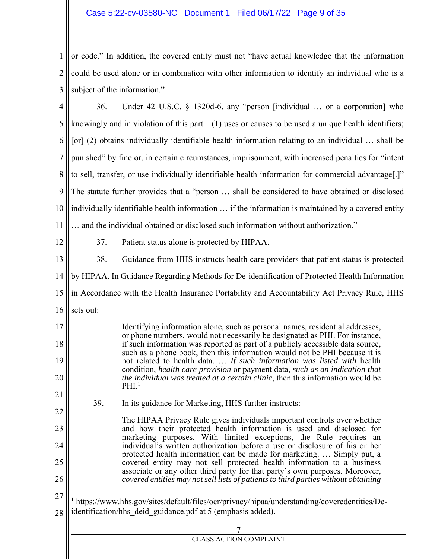## Case 5:22-cv-03580-NC Document 1 Filed 06/17/22 Page 9 of 35

1 2 3 || subject of the information." or code." In addition, the covered entity must not "have actual knowledge that the information could be used alone or in combination with other information to identify an individual who is a

| 4  | Under 42 U.S.C. § 1320d-6, any "person [individual  or a corporation] who<br>36.                                                                                                    |  |  |  |  |  |  |  |  |
|----|-------------------------------------------------------------------------------------------------------------------------------------------------------------------------------------|--|--|--|--|--|--|--|--|
| 5  | knowingly and in violation of this part $-(1)$ uses or causes to be used a unique health identifiers;                                                                               |  |  |  |  |  |  |  |  |
| 6  | [or] (2) obtains individually identifiable health information relating to an individual  shall be                                                                                   |  |  |  |  |  |  |  |  |
| 7  | punished" by fine or, in certain circumstances, imprisonment, with increased penalties for "intent                                                                                  |  |  |  |  |  |  |  |  |
| 8  | to sell, transfer, or use individually identifiable health information for commercial advantage[.]"                                                                                 |  |  |  |  |  |  |  |  |
| 9  | The statute further provides that a "person  shall be considered to have obtained or disclosed                                                                                      |  |  |  |  |  |  |  |  |
| 10 | individually identifiable health information  if the information is maintained by a covered entity                                                                                  |  |  |  |  |  |  |  |  |
| 11 | and the individual obtained or disclosed such information without authorization."                                                                                                   |  |  |  |  |  |  |  |  |
| 12 | 37.<br>Patient status alone is protected by HIPAA.                                                                                                                                  |  |  |  |  |  |  |  |  |
| 13 | 38.<br>Guidance from HHS instructs health care providers that patient status is protected                                                                                           |  |  |  |  |  |  |  |  |
| 14 | by HIPAA. In Guidance Regarding Methods for De-identification of Protected Health Information                                                                                       |  |  |  |  |  |  |  |  |
| 15 | in Accordance with the Health Insurance Portability and Accountability Act Privacy Rule, HHS                                                                                        |  |  |  |  |  |  |  |  |
| 16 | sets out:                                                                                                                                                                           |  |  |  |  |  |  |  |  |
| 17 | Identifying information alone, such as personal names, residential addresses,                                                                                                       |  |  |  |  |  |  |  |  |
| 18 | or phone numbers, would not necessarily be designated as PHI. For instance,<br>if such information was reported as part of a publicly accessible data source,                       |  |  |  |  |  |  |  |  |
| 19 | such as a phone book, then this information would not be PHI because it is<br>not related to health data.  If such information was listed with health                               |  |  |  |  |  |  |  |  |
| 20 | condition, health care provision or payment data, such as an indication that<br>the individual was treated at a certain clinic, then this information would be<br>PHI. <sup>1</sup> |  |  |  |  |  |  |  |  |
| 21 |                                                                                                                                                                                     |  |  |  |  |  |  |  |  |
| 22 | 39.<br>In its guidance for Marketing, HHS further instructs:                                                                                                                        |  |  |  |  |  |  |  |  |
| 23 | The HIPAA Privacy Rule gives individuals important controls over whether<br>and how their protected health information is used and disclosed for                                    |  |  |  |  |  |  |  |  |
| 24 | marketing purposes. With limited exceptions, the Rule requires an<br>individual's written authorization before a use or disclosure of his or her                                    |  |  |  |  |  |  |  |  |
| 25 | protected health information can be made for marketing.  Simply put, a<br>covered entity may not sell protected health information to a business                                    |  |  |  |  |  |  |  |  |
| 26 | associate or any other third party for that party's own purposes. Moreover,<br>covered entities may not sell lists of patients to third parties without obtaining                   |  |  |  |  |  |  |  |  |
| 27 | <sup>1</sup> https://www.hhs.gov/sites/default/files/ocr/privacy/hipaa/understanding/coveredentities/De-                                                                            |  |  |  |  |  |  |  |  |
| 28 | identification/hhs deid guidance.pdf at 5 (emphasis added).                                                                                                                         |  |  |  |  |  |  |  |  |
|    |                                                                                                                                                                                     |  |  |  |  |  |  |  |  |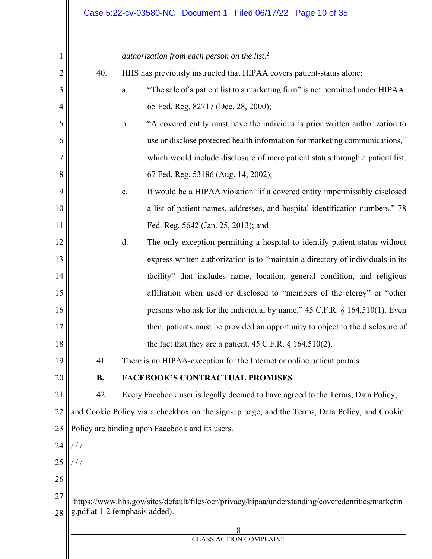| $\mathbf 1$    |               | authorization from each person on the list. <sup>2</sup>                                                      |  |  |  |  |  |  |  |  |
|----------------|---------------|---------------------------------------------------------------------------------------------------------------|--|--|--|--|--|--|--|--|
| $\overline{2}$ | 40.           | HHS has previously instructed that HIPAA covers patient-status alone:                                         |  |  |  |  |  |  |  |  |
| 3              |               | "The sale of a patient list to a marketing firm" is not permitted under HIPAA.<br>a.                          |  |  |  |  |  |  |  |  |
| $\overline{4}$ |               | 65 Fed. Reg. 82717 (Dec. 28, 2000);                                                                           |  |  |  |  |  |  |  |  |
| 5              |               | $\mathbf{b}$ .<br>"A covered entity must have the individual's prior written authorization to                 |  |  |  |  |  |  |  |  |
| 6              |               | use or disclose protected health information for marketing communications,"                                   |  |  |  |  |  |  |  |  |
| 7              |               | which would include disclosure of mere patient status through a patient list.                                 |  |  |  |  |  |  |  |  |
| 8              |               | 67 Fed. Reg. 53186 (Aug. 14, 2002);                                                                           |  |  |  |  |  |  |  |  |
| 9              |               | It would be a HIPAA violation "if a covered entity impermissibly disclosed<br>$\mathbf{c}.$                   |  |  |  |  |  |  |  |  |
| 10             |               | a list of patient names, addresses, and hospital identification numbers." 78                                  |  |  |  |  |  |  |  |  |
| 11             |               | Fed. Reg. 5642 (Jan. 25, 2013); and                                                                           |  |  |  |  |  |  |  |  |
| 12             |               | d.<br>The only exception permitting a hospital to identify patient status without                             |  |  |  |  |  |  |  |  |
| 13             |               | express written authorization is to "maintain a directory of individuals in its                               |  |  |  |  |  |  |  |  |
| 14             |               | facility" that includes name, location, general condition, and religious                                      |  |  |  |  |  |  |  |  |
| 15             |               | affiliation when used or disclosed to "members of the clergy" or "other                                       |  |  |  |  |  |  |  |  |
| 16             |               | persons who ask for the individual by name." 45 C.F.R. § 164.510(1). Even                                     |  |  |  |  |  |  |  |  |
| 17             |               | then, patients must be provided an opportunity to object to the disclosure of                                 |  |  |  |  |  |  |  |  |
| 18             |               | the fact that they are a patient. $45$ C.F.R. § 164.510(2).                                                   |  |  |  |  |  |  |  |  |
| 19             | 41.           | There is no HIPAA-exception for the Internet or online patient portals.                                       |  |  |  |  |  |  |  |  |
| 20             | <b>B.</b>     | <b>FACEBOOK'S CONTRACTUAL PROMISES</b>                                                                        |  |  |  |  |  |  |  |  |
| 21             | 42.           | Every Facebook user is legally deemed to have agreed to the Terms, Data Policy,                               |  |  |  |  |  |  |  |  |
| 22             |               | and Cookie Policy via a checkbox on the sign-up page; and the Terms, Data Policy, and Cookie                  |  |  |  |  |  |  |  |  |
| 23             |               | Policy are binding upon Facebook and its users.                                                               |  |  |  |  |  |  |  |  |
| 24             | ///           |                                                                                                               |  |  |  |  |  |  |  |  |
| 25             | $\frac{1}{2}$ |                                                                                                               |  |  |  |  |  |  |  |  |
| 26             |               |                                                                                                               |  |  |  |  |  |  |  |  |
| 27             |               | <sup>2</sup> https://www.hhs.gov/sites/default/files/ocr/privacy/hipaa/understanding/coveredentities/marketin |  |  |  |  |  |  |  |  |
| 28             |               | g.pdf at 1-2 (emphasis added).                                                                                |  |  |  |  |  |  |  |  |
|                |               | 8<br><b>CLASS ACTION COMPLAINT</b>                                                                            |  |  |  |  |  |  |  |  |

 $\parallel$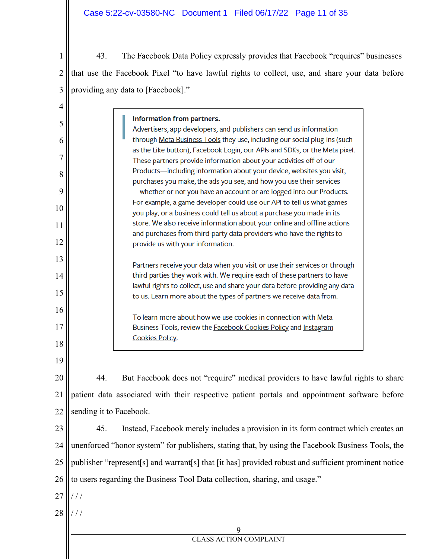43. The Facebook Data Policy expressly provides that Facebook "requires" businesses that use the Facebook Pixel "to have lawful rights to collect, use, and share your data before providing any data to [Facebook]."

| 4  |                                                                                                      |                                                                                                                                                  |  |  |  |  |  |  |
|----|------------------------------------------------------------------------------------------------------|--------------------------------------------------------------------------------------------------------------------------------------------------|--|--|--|--|--|--|
| 5  |                                                                                                      | Information from partners.<br>Advertisers, app developers, and publishers can send us information                                                |  |  |  |  |  |  |
| 6  |                                                                                                      | through Meta Business Tools they use, including our social plug-ins (such                                                                        |  |  |  |  |  |  |
|    |                                                                                                      | as the Like button), Facebook Login, our APIs and SDKs, or the Meta pixel.                                                                       |  |  |  |  |  |  |
| 7  |                                                                                                      | These partners provide information about your activities off of our                                                                              |  |  |  |  |  |  |
| 8  |                                                                                                      | Products-including information about your device, websites you visit,                                                                            |  |  |  |  |  |  |
| 9  |                                                                                                      | purchases you make, the ads you see, and how you use their services<br>-whether or not you have an account or are logged into our Products.      |  |  |  |  |  |  |
|    |                                                                                                      | For example, a game developer could use our API to tell us what games                                                                            |  |  |  |  |  |  |
| 10 |                                                                                                      | you play, or a business could tell us about a purchase you made in its                                                                           |  |  |  |  |  |  |
| 11 |                                                                                                      | store. We also receive information about your online and offline actions                                                                         |  |  |  |  |  |  |
| 12 |                                                                                                      | and purchases from third-party data providers who have the rights to                                                                             |  |  |  |  |  |  |
|    |                                                                                                      | provide us with your information.                                                                                                                |  |  |  |  |  |  |
| 13 |                                                                                                      | Partners receive your data when you visit or use their services or through                                                                       |  |  |  |  |  |  |
| 14 |                                                                                                      | third parties they work with. We require each of these partners to have                                                                          |  |  |  |  |  |  |
|    |                                                                                                      | lawful rights to collect, use and share your data before providing any data                                                                      |  |  |  |  |  |  |
| 15 |                                                                                                      | to us. Learn more about the types of partners we receive data from.                                                                              |  |  |  |  |  |  |
| 16 |                                                                                                      |                                                                                                                                                  |  |  |  |  |  |  |
| 17 |                                                                                                      | To learn more about how we use cookies in connection with Meta<br>Business Tools, review the <b>Facebook Cookies Policy</b> and <b>Instagram</b> |  |  |  |  |  |  |
|    |                                                                                                      | <b>Cookies Policy.</b>                                                                                                                           |  |  |  |  |  |  |
| 18 |                                                                                                      |                                                                                                                                                  |  |  |  |  |  |  |
| 19 |                                                                                                      |                                                                                                                                                  |  |  |  |  |  |  |
| 20 | 44.                                                                                                  | But Facebook does not "require" medical providers to have lawful rights to share                                                                 |  |  |  |  |  |  |
| 21 |                                                                                                      | patient data associated with their respective patient portals and appointment software before                                                    |  |  |  |  |  |  |
| 22 | sending it to Facebook.                                                                              |                                                                                                                                                  |  |  |  |  |  |  |
| 23 | 45.                                                                                                  | Instead, Facebook merely includes a provision in its form contract which creates an                                                              |  |  |  |  |  |  |
|    |                                                                                                      |                                                                                                                                                  |  |  |  |  |  |  |
| 24 | unenforced "honor system" for publishers, stating that, by using the Facebook Business Tools, the    |                                                                                                                                                  |  |  |  |  |  |  |
| 25 | publisher "represent[s] and warrant[s] that [it has] provided robust and sufficient prominent notice |                                                                                                                                                  |  |  |  |  |  |  |
| 26 | to users regarding the Business Tool Data collection, sharing, and usage."                           |                                                                                                                                                  |  |  |  |  |  |  |
| 27 | ///                                                                                                  |                                                                                                                                                  |  |  |  |  |  |  |
| 28 | ///                                                                                                  |                                                                                                                                                  |  |  |  |  |  |  |
|    |                                                                                                      | 9                                                                                                                                                |  |  |  |  |  |  |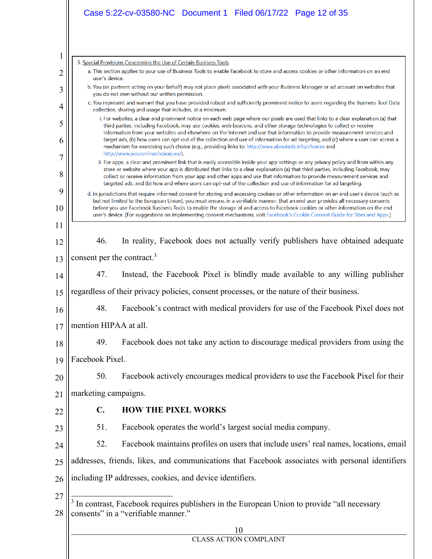|                | Case 5:22-cv-03580-NC  Document 1  Filed 06/17/22  Page 12 of 35                                                                                                                                                                                                                                                                                                                                                                                                                                                                                                                                                                        |  |  |  |  |  |  |  |  |
|----------------|-----------------------------------------------------------------------------------------------------------------------------------------------------------------------------------------------------------------------------------------------------------------------------------------------------------------------------------------------------------------------------------------------------------------------------------------------------------------------------------------------------------------------------------------------------------------------------------------------------------------------------------------|--|--|--|--|--|--|--|--|
|                |                                                                                                                                                                                                                                                                                                                                                                                                                                                                                                                                                                                                                                         |  |  |  |  |  |  |  |  |
| $\mathbf{1}$   | 3. Special Provisions Concerning the Use of Certain Business Tools                                                                                                                                                                                                                                                                                                                                                                                                                                                                                                                                                                      |  |  |  |  |  |  |  |  |
| $\overline{c}$ | a. This section applies to your use of Business Tools to enable Facebook to store and access cookies or other information on an end<br>user's device.                                                                                                                                                                                                                                                                                                                                                                                                                                                                                   |  |  |  |  |  |  |  |  |
| 3              | b. You (or partners acting on your behalf) may not place pixels associated with your Business Manager or ad account on websites that<br>you do not own without our written permission.                                                                                                                                                                                                                                                                                                                                                                                                                                                  |  |  |  |  |  |  |  |  |
| 4              | c. You represent and warrant that you have provided robust and sufficiently prominent notice to users regarding the Business Tool Data<br>collection, sharing and usage that includes, at a minimum:                                                                                                                                                                                                                                                                                                                                                                                                                                    |  |  |  |  |  |  |  |  |
| 5<br>6         | i. For websites, a clear and prominent notice on each web page where our pixels are used that links to a clear explanation (a) that<br>third parties, including Facebook, may use cookies, web beacons, and other storage technologies to collect or receive<br>information from your websites and elsewhere on the Internet and use that information to provide measurement services and<br>target ads, (b) how users can opt-out of the collection and use of information for ad targeting, and (c) where a user can access a<br>mechanism for exercising such choice (e.g., providing links to: http://www.aboutads.info/choices and |  |  |  |  |  |  |  |  |
| 7              | http://www.youronlinechoices.eu/).<br>ii. For apps, a clear and prominent link that is easily accessible inside your app settings or any privacy policy and from within any                                                                                                                                                                                                                                                                                                                                                                                                                                                             |  |  |  |  |  |  |  |  |
| 8              | store or website where your app is distributed that links to a clear explanation (a) that third parties, including Facebook, may<br>collect or receive information from your app and other apps and use that information to provide measurement services and<br>targeted ads, and (b) how and where users can opt-out of the collection and use of information for ad targeting.                                                                                                                                                                                                                                                        |  |  |  |  |  |  |  |  |
| 9<br>10        | d. In jurisdictions that require informed consent for storing and accessing cookies or other information on an end user's device (such as<br>but not limited to the European Union), you must ensure, in a verifiable manner, that an end user provides all necessary consents<br>before you use Facebook Business Tools to enable the storage of and access to Facebook cookies or other information on the end<br>user's device. (For suggestions on implementing consent mechanisms, visit Facebook's Cookie Consent Guide for Sites and Apps.)                                                                                      |  |  |  |  |  |  |  |  |
| 11             |                                                                                                                                                                                                                                                                                                                                                                                                                                                                                                                                                                                                                                         |  |  |  |  |  |  |  |  |
| 12             | 46.<br>In reality, Facebook does not actually verify publishers have obtained adequate                                                                                                                                                                                                                                                                                                                                                                                                                                                                                                                                                  |  |  |  |  |  |  |  |  |
| 13             | consent per the contract. <sup>3</sup>                                                                                                                                                                                                                                                                                                                                                                                                                                                                                                                                                                                                  |  |  |  |  |  |  |  |  |
| 14             | 47.<br>Instead, the Facebook Pixel is blindly made available to any willing publisher                                                                                                                                                                                                                                                                                                                                                                                                                                                                                                                                                   |  |  |  |  |  |  |  |  |
| 15             | regardless of their privacy policies, consent processes, or the nature of their business.                                                                                                                                                                                                                                                                                                                                                                                                                                                                                                                                               |  |  |  |  |  |  |  |  |
| 16             | 48.<br>Facebook's contract with medical providers for use of the Facebook Pixel does not                                                                                                                                                                                                                                                                                                                                                                                                                                                                                                                                                |  |  |  |  |  |  |  |  |
| 17             | mention HIPAA at all.                                                                                                                                                                                                                                                                                                                                                                                                                                                                                                                                                                                                                   |  |  |  |  |  |  |  |  |
| 18             | Facebook does not take any action to discourage medical providers from using the<br>49.                                                                                                                                                                                                                                                                                                                                                                                                                                                                                                                                                 |  |  |  |  |  |  |  |  |
| 19             | Facebook Pixel.                                                                                                                                                                                                                                                                                                                                                                                                                                                                                                                                                                                                                         |  |  |  |  |  |  |  |  |
| 20             | Facebook actively encourages medical providers to use the Facebook Pixel for their<br>50.                                                                                                                                                                                                                                                                                                                                                                                                                                                                                                                                               |  |  |  |  |  |  |  |  |
| 21             | marketing campaigns.                                                                                                                                                                                                                                                                                                                                                                                                                                                                                                                                                                                                                    |  |  |  |  |  |  |  |  |
| 22             | $\mathbf{C}$ .<br><b>HOW THE PIXEL WORKS</b>                                                                                                                                                                                                                                                                                                                                                                                                                                                                                                                                                                                            |  |  |  |  |  |  |  |  |
| 23             | 51.<br>Facebook operates the world's largest social media company.                                                                                                                                                                                                                                                                                                                                                                                                                                                                                                                                                                      |  |  |  |  |  |  |  |  |
| 24             | 52.<br>Facebook maintains profiles on users that include users' real names, locations, email                                                                                                                                                                                                                                                                                                                                                                                                                                                                                                                                            |  |  |  |  |  |  |  |  |
| 25             | addresses, friends, likes, and communications that Facebook associates with personal identifiers                                                                                                                                                                                                                                                                                                                                                                                                                                                                                                                                        |  |  |  |  |  |  |  |  |
| 26             | including IP addresses, cookies, and device identifiers.                                                                                                                                                                                                                                                                                                                                                                                                                                                                                                                                                                                |  |  |  |  |  |  |  |  |
| 27<br>28       | <sup>3</sup> In contrast, Facebook requires publishers in the European Union to provide "all necessary<br>consents" in a "verifiable manner."                                                                                                                                                                                                                                                                                                                                                                                                                                                                                           |  |  |  |  |  |  |  |  |
|                | 10                                                                                                                                                                                                                                                                                                                                                                                                                                                                                                                                                                                                                                      |  |  |  |  |  |  |  |  |

| CLASS ACTION COMPLAINT |  |  |
|------------------------|--|--|
|------------------------|--|--|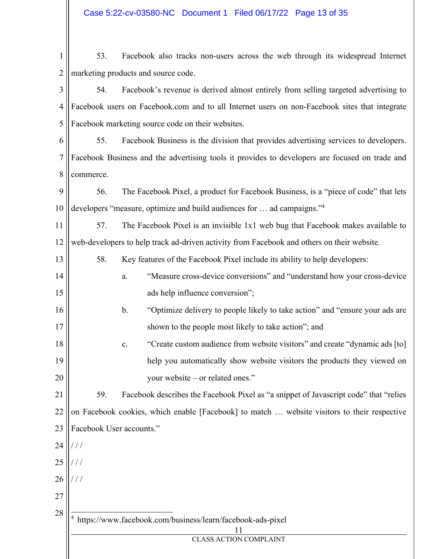1 2 53. Facebook also tracks non-users across the web through its widespread Internet marketing products and source code.

3 4 5 54. Facebook's revenue is derived almost entirely from selling targeted advertising to Facebook users on Facebook.com and to all Internet users on non-Facebook sites that integrate Facebook marketing source code on their websites.

6 7 8 55. Facebook Business is the division that provides advertising services to developers. Facebook Business and the advertising tools it provides to developers are focused on trade and commerce.

9 10 56. The Facebook Pixel, a product for Facebook Business, is a "piece of code" that lets developers "measure, optimize and build audiences for … ad campaigns."4

11 12 57. The Facebook Pixel is an invisible 1x1 web bug that Facebook makes available to web-developers to help track ad-driven activity from Facebook and others on their website.

- 58. Key features of the Facebook Pixel include its ability to help developers:
- 14 15 a. "Measure cross-device conversions" and "understand how your cross-device ads help influence conversion";
- 16 17 b. "Optimize delivery to people likely to take action" and "ensure your ads are shown to the people most likely to take action"; and
- 18 19 20 c. "Create custom audience from website visitors" and create "dynamic ads [to] help you automatically show website visitors the products they viewed on your website – or related ones."

21 22 23 59. Facebook describes the Facebook Pixel as "a snippet of Javascript code" that "relies on Facebook cookies, which enable [Facebook] to match … website visitors to their respective Facebook User accounts."

24 / / /

13

- 25  $/ /$
- 26 / / /

4

- 27
- 28

https://www.facebook.com/business/learn/facebook-ads-pixel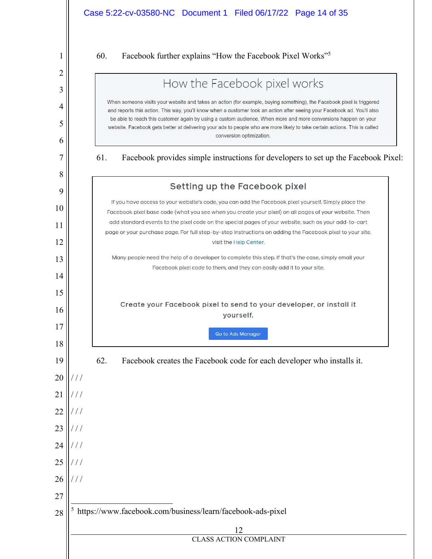|          | Case 5:22-cv-03580-NC Document 1 Filed 06/17/22 Page 14 of 35                                                                                                                                                                                                                                                                                                                                        |
|----------|------------------------------------------------------------------------------------------------------------------------------------------------------------------------------------------------------------------------------------------------------------------------------------------------------------------------------------------------------------------------------------------------------|
| 1        | 60.<br>Facebook further explains "How the Facebook Pixel Works" <sup>5</sup>                                                                                                                                                                                                                                                                                                                         |
| 2        | How the Facebook pixel works                                                                                                                                                                                                                                                                                                                                                                         |
| 3        | When someone visits your website and takes an action (for example, buying something), the Facebook pixel is triggered                                                                                                                                                                                                                                                                                |
| 4<br>5   | and reports this action. This way, you'll know when a customer took an action after seeing your Facebook ad. You'll also<br>be able to reach this customer again by using a custom audience. When more and more conversions happen on your<br>website, Facebook gets better at delivering your ads to people who are more likely to take certain actions. This is called<br>conversion optimization. |
| 6        |                                                                                                                                                                                                                                                                                                                                                                                                      |
| 7        | 61.<br>Facebook provides simple instructions for developers to set up the Facebook Pixel:                                                                                                                                                                                                                                                                                                            |
| 8        | Setting up the Facebook pixel                                                                                                                                                                                                                                                                                                                                                                        |
| 9        | If you have access to your website's code, you can add the Facebook pixel yourself. Simply place the                                                                                                                                                                                                                                                                                                 |
| 10       | Facebook pixel base code (what you see when you create your pixel) on all pages of your website. Then<br>add standard events to the pixel code on the special pages of your website, such as your add-to-cart                                                                                                                                                                                        |
| 11<br>12 | page or your purchase page. For full step-by-step instructions on adding the Facebook pixel to your site,<br>visit the Help Center.                                                                                                                                                                                                                                                                  |
| 13       | Many people need the help of a developer to complete this step. If that's the case, simply email your                                                                                                                                                                                                                                                                                                |
| 14       | Facebook pixel code to them, and they can easily add it to your site.                                                                                                                                                                                                                                                                                                                                |
| 15       |                                                                                                                                                                                                                                                                                                                                                                                                      |
| 16       | Create your Facebook pixel to send to your developer, or install it<br>yourself.                                                                                                                                                                                                                                                                                                                     |
| 17       | <b>Go to Ads Manager</b>                                                                                                                                                                                                                                                                                                                                                                             |
| 18       |                                                                                                                                                                                                                                                                                                                                                                                                      |
| 19       | 62.<br>Facebook creates the Facebook code for each developer who installs it.                                                                                                                                                                                                                                                                                                                        |
| 20       | ///                                                                                                                                                                                                                                                                                                                                                                                                  |
| 21       | '                                                                                                                                                                                                                                                                                                                                                                                                    |
| 22<br>23 | ///<br>///                                                                                                                                                                                                                                                                                                                                                                                           |
| 24       | ///                                                                                                                                                                                                                                                                                                                                                                                                  |
| 25       | ///                                                                                                                                                                                                                                                                                                                                                                                                  |
| 26       | ///                                                                                                                                                                                                                                                                                                                                                                                                  |
| 27       |                                                                                                                                                                                                                                                                                                                                                                                                      |
| 28       | https://www.facebook.com/business/learn/facebook-ads-pixel                                                                                                                                                                                                                                                                                                                                           |
|          | 12                                                                                                                                                                                                                                                                                                                                                                                                   |
|          | <b>CLASS ACTION COMPLAINT</b>                                                                                                                                                                                                                                                                                                                                                                        |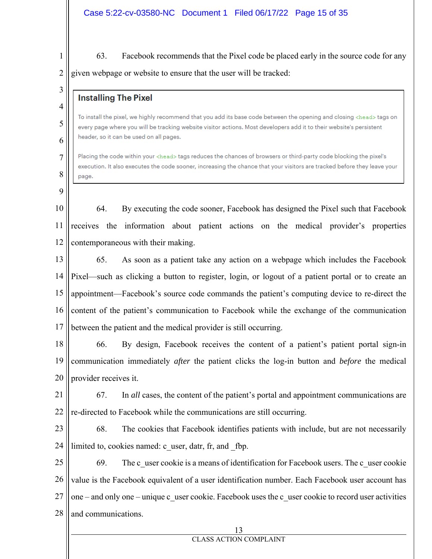1 2 63. Facebook recommends that the Pixel code be placed early in the source code for any given webpage or website to ensure that the user will be tracked:

3

4

5

6

7

8

## **Installing The Pixel**

To install the pixel, we highly recommend that you add its base code between the opening and closing <head> tags on every page where you will be tracking website visitor actions. Most developers add it to their website's persistent header, so it can be used on all pages.

Placing the code within your <head> tags reduces the chances of browsers or third-party code blocking the pixel's execution. It also executes the code sooner, increasing the chance that your visitors are tracked before they leave your page.

9

10 11 12 64. By executing the code sooner, Facebook has designed the Pixel such that Facebook receives the information about patient actions on the medical provider's properties contemporaneous with their making.

13 14 15 16 17 65. As soon as a patient take any action on a webpage which includes the Facebook Pixel—such as clicking a button to register, login, or logout of a patient portal or to create an appointment—Facebook's source code commands the patient's computing device to re-direct the content of the patient's communication to Facebook while the exchange of the communication between the patient and the medical provider is still occurring.

18 19 20 66. By design, Facebook receives the content of a patient's patient portal sign-in communication immediately *after* the patient clicks the log-in button and *before* the medical provider receives it.

21 22 67. In *all* cases, the content of the patient's portal and appointment communications are re-directed to Facebook while the communications are still occurring.

23 24 68. The cookies that Facebook identifies patients with include, but are not necessarily limited to, cookies named: c\_user, datr, fr, and \_fbp.

25 26 27 28 69. The c\_user cookie is a means of identification for Facebook users. The c\_user cookie value is the Facebook equivalent of a user identification number. Each Facebook user account has one – and only one – unique c\_user cookie. Facebook uses the c\_user cookie to record user activities and communications.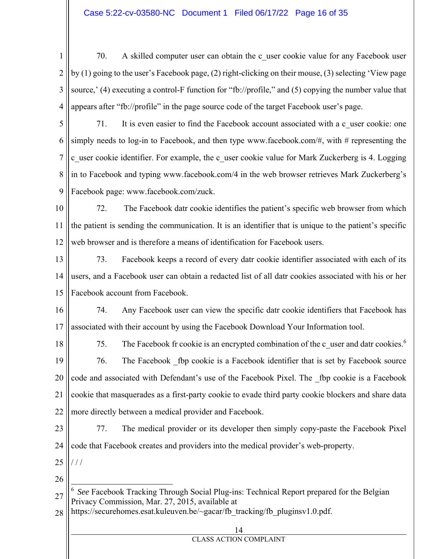1 2 3 4 70. A skilled computer user can obtain the c\_user cookie value for any Facebook user by (1) going to the user's Facebook page, (2) right-clicking on their mouse, (3) selecting 'View page source,' (4) executing a control-F function for "fb://profile," and (5) copying the number value that appears after "fb://profile" in the page source code of the target Facebook user's page.

5 6 7 8 9 71. It is even easier to find the Facebook account associated with a c\_user cookie: one simply needs to log-in to Facebook, and then type www.facebook.com/#, with # representing the c\_user cookie identifier. For example, the c\_user cookie value for Mark Zuckerberg is 4. Logging in to Facebook and typing www.facebook.com/4 in the web browser retrieves Mark Zuckerberg's Facebook page: www.facebook.com/zuck.

10 11 12 72. The Facebook datr cookie identifies the patient's specific web browser from which the patient is sending the communication. It is an identifier that is unique to the patient's specific web browser and is therefore a means of identification for Facebook users.

13 14 15 73. Facebook keeps a record of every datr cookie identifier associated with each of its users, and a Facebook user can obtain a redacted list of all datr cookies associated with his or her Facebook account from Facebook.

16 17 74. Any Facebook user can view the specific datr cookie identifiers that Facebook has associated with their account by using the Facebook Download Your Information tool.

18 19 20 21 22 75. The Facebook fr cookie is an encrypted combination of the c\_user and datr cookies. $6$ 76. The Facebook \_fbp cookie is a Facebook identifier that is set by Facebook source code and associated with Defendant's use of the Facebook Pixel. The \_fbp cookie is a Facebook cookie that masquerades as a first-party cookie to evade third party cookie blockers and share data more directly between a medical provider and Facebook.

23 24 77. The medical provider or its developer then simply copy-paste the Facebook Pixel code that Facebook creates and providers into the medical provider's web-property.

25 / / /

26

28 https://securehomes.esat.kuleuven.be/~gacar/fb\_tracking/fb\_pluginsv1.0.pdf

| $res. csat. kultuveti. 0e/~gatai/10$ acking/10 plugilisvi.0.pdf. |
|------------------------------------------------------------------|
| 14                                                               |
| <b>CLASS ACTION COMPLAINT</b>                                    |
|                                                                  |

<sup>27</sup> <sup>6</sup> *See* Facebook Tracking Through Social Plug-ins: Technical Report prepared for the Belgian Privacy Commission, Mar. 27, 2015, available at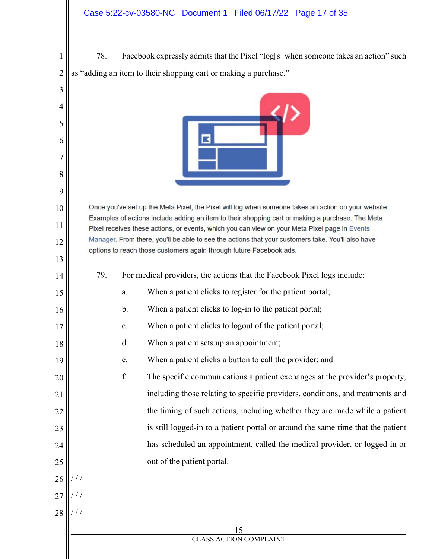1  $2 \parallel$  as "adding an item to their shopping cart or making a purchase." 78. Facebook expressly admits that the Pixel "log[s] when someone takes an action" such

| 3       |                                                                                                                                                                                                    |  |  |  |  |  |  |  |  |  |  |
|---------|----------------------------------------------------------------------------------------------------------------------------------------------------------------------------------------------------|--|--|--|--|--|--|--|--|--|--|
| 4       |                                                                                                                                                                                                    |  |  |  |  |  |  |  |  |  |  |
| 5       |                                                                                                                                                                                                    |  |  |  |  |  |  |  |  |  |  |
| 6       |                                                                                                                                                                                                    |  |  |  |  |  |  |  |  |  |  |
| 7       |                                                                                                                                                                                                    |  |  |  |  |  |  |  |  |  |  |
| 8       |                                                                                                                                                                                                    |  |  |  |  |  |  |  |  |  |  |
| 9<br>10 | Once you've set up the Meta Pixel, the Pixel will log when someone takes an action on your website.                                                                                                |  |  |  |  |  |  |  |  |  |  |
| 11      | Examples of actions include adding an item to their shopping cart or making a purchase. The Meta                                                                                                   |  |  |  |  |  |  |  |  |  |  |
| 12      | Pixel receives these actions, or events, which you can view on your Meta Pixel page in Events<br>Manager. From there, you'll be able to see the actions that your customers take. You'll also have |  |  |  |  |  |  |  |  |  |  |
| 13      | options to reach those customers again through future Facebook ads.                                                                                                                                |  |  |  |  |  |  |  |  |  |  |
| 14      | 79.<br>For medical providers, the actions that the Facebook Pixel logs include:                                                                                                                    |  |  |  |  |  |  |  |  |  |  |
| 15      | When a patient clicks to register for the patient portal;<br>a.                                                                                                                                    |  |  |  |  |  |  |  |  |  |  |
| 16      | When a patient clicks to log-in to the patient portal;<br>b.                                                                                                                                       |  |  |  |  |  |  |  |  |  |  |
| 17      | When a patient clicks to logout of the patient portal;<br>c.                                                                                                                                       |  |  |  |  |  |  |  |  |  |  |
| 18      | When a patient sets up an appointment;<br>d.                                                                                                                                                       |  |  |  |  |  |  |  |  |  |  |
| 19      | When a patient clicks a button to call the provider; and<br>e.                                                                                                                                     |  |  |  |  |  |  |  |  |  |  |
| 20      | f.<br>The specific communications a patient exchanges at the provider's property,                                                                                                                  |  |  |  |  |  |  |  |  |  |  |
| 21      | including those relating to specific providers, conditions, and treatments and                                                                                                                     |  |  |  |  |  |  |  |  |  |  |
| 22      | the timing of such actions, including whether they are made while a patient                                                                                                                        |  |  |  |  |  |  |  |  |  |  |
| 23      | is still logged-in to a patient portal or around the same time that the patient                                                                                                                    |  |  |  |  |  |  |  |  |  |  |
| 24      | has scheduled an appointment, called the medical provider, or logged in or                                                                                                                         |  |  |  |  |  |  |  |  |  |  |
| 25      | out of the patient portal.                                                                                                                                                                         |  |  |  |  |  |  |  |  |  |  |
| 26      | $\frac{1}{2}$                                                                                                                                                                                      |  |  |  |  |  |  |  |  |  |  |
| 27      |                                                                                                                                                                                                    |  |  |  |  |  |  |  |  |  |  |
| 28      |                                                                                                                                                                                                    |  |  |  |  |  |  |  |  |  |  |
|         | 15                                                                                                                                                                                                 |  |  |  |  |  |  |  |  |  |  |
|         | <b>CLASS ACTION COMPLAINT</b>                                                                                                                                                                      |  |  |  |  |  |  |  |  |  |  |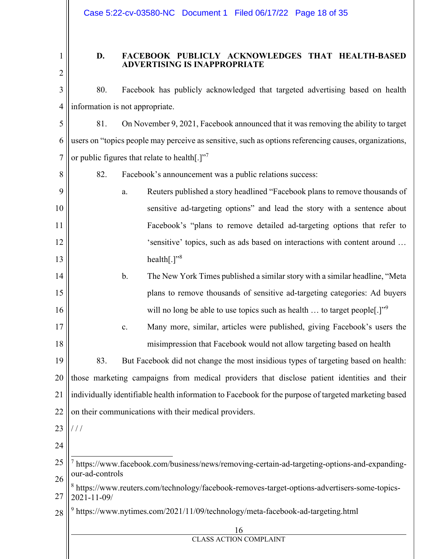1 2

8

## **D. FACEBOOK PUBLICLY ACKNOWLEDGES THAT HEALTH-BASED ADVERTISING IS INAPPROPRIATE**

3 4 80. Facebook has publicly acknowledged that targeted advertising based on health information is not appropriate.

5 6 7 81. On November 9, 2021, Facebook announced that it was removing the ability to target users on "topics people may perceive as sensitive, such as options referencing causes, organizations, or public figures that relate to health $[.]$ <sup>77</sup>

82. Facebook's announcement was a public relations success:

9 10 11 12 13 a. Reuters published a story headlined "Facebook plans to remove thousands of sensitive ad-targeting options" and lead the story with a sentence about Facebook's "plans to remove detailed ad-targeting options that refer to 'sensitive' topics, such as ads based on interactions with content around … health $[.]$ <sup>38</sup>

- 14 15 16 b. The New York Times published a similar story with a similar headline, "Meta plans to remove thousands of sensitive ad-targeting categories: Ad buyers will no long be able to use topics such as health  $\ldots$  to target people[.]"<sup>9</sup>
	- c. Many more, similar, articles were published, giving Facebook's users the misimpression that Facebook would not allow targeting based on health

19 20 21 22 83. But Facebook did not change the most insidious types of targeting based on health: those marketing campaigns from medical providers that disclose patient identities and their individually identifiable health information to Facebook for the purpose of targeted marketing based on their communications with their medical providers.

- 23  $/ /$
- 24

17

18

25 26 7 https://www.facebook.com/business/news/removing-certain-ad-targeting-options-and-expandingour-ad-controls

27 <sup>8</sup> https://www.reuters.com/technology/facebook-removes-target-options-advertisers-some-topics-2021-11-09/

28 <sup>9</sup> https://www.nytimes.com/2021/11/09/technology/meta-facebook-ad-targeting.html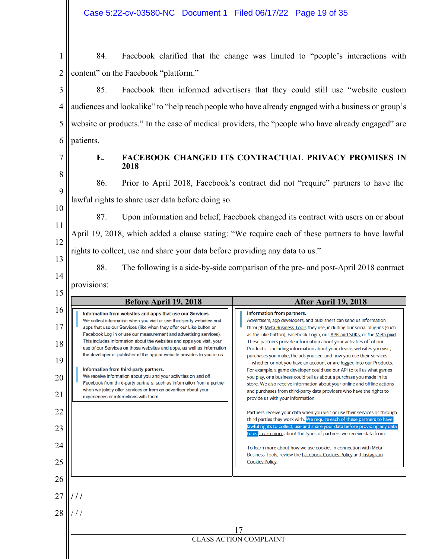| 1 | 84.                                      |  |  |  |  | Facebook clarified that the change was limited to "people's interactions with |  |
|---|------------------------------------------|--|--|--|--|-------------------------------------------------------------------------------|--|
|   | 2   content" on the Facebook "platform." |  |  |  |  |                                                                               |  |

3 4 5 6 85. Facebook then informed advertisers that they could still use "website custom audiences and lookalike" to "help reach people who have already engaged with a business or group's website or products." In the case of medical providers, the "people who have already engaged" are patients.

## **E. FACEBOOK CHANGED ITS CONTRACTUAL PRIVACY PROMISES IN 2018**

86. Prior to April 2018, Facebook's contract did not "require" partners to have the lawful rights to share user data before doing so.

10 11

9

87. Upon information and belief, Facebook changed its contract with users on or about April 19, 2018, which added a clause stating: "We require each of these partners to have lawful rights to collect, use and share your data before providing any data to us."

13 14

15

12

88. The following is a side-by-side comparison of the pre- and post-April 2018 contract provisions:

|                                                    | Before April 19, 2018                                                                                                                                                                                                                                                                                                                                                                                                                                                                                                                                                                                                                                                                                                                                                                                            | <b>After April 19, 2018</b>                                                                                                                                                                                                                                                                                                                                                                                                                                                                                                                                                                                                                                                                                                                                                                                                                                                                                                                                                                                                                                                                                                                                                                                                                                                              |
|----------------------------------------------------|------------------------------------------------------------------------------------------------------------------------------------------------------------------------------------------------------------------------------------------------------------------------------------------------------------------------------------------------------------------------------------------------------------------------------------------------------------------------------------------------------------------------------------------------------------------------------------------------------------------------------------------------------------------------------------------------------------------------------------------------------------------------------------------------------------------|------------------------------------------------------------------------------------------------------------------------------------------------------------------------------------------------------------------------------------------------------------------------------------------------------------------------------------------------------------------------------------------------------------------------------------------------------------------------------------------------------------------------------------------------------------------------------------------------------------------------------------------------------------------------------------------------------------------------------------------------------------------------------------------------------------------------------------------------------------------------------------------------------------------------------------------------------------------------------------------------------------------------------------------------------------------------------------------------------------------------------------------------------------------------------------------------------------------------------------------------------------------------------------------|
| 16<br>17<br>18<br>19<br>20<br>21<br>22<br>23<br>24 | Information from websites and apps that use our Services.<br>We collect information when you visit or use third-party websites and<br>apps that use our Services (like when they offer our Like button or<br>Facebook Log In or use our measurement and advertising services).<br>This includes information about the websites and apps you visit, your<br>use of our Services on those websites and apps, as well as information<br>the developer or publisher of the app or website provides to you or us.<br>Information from third-party partners.<br>We receive information about you and your activities on and off<br>Facebook from third-party partners, such as information from a partner<br>when we jointly offer services or from an advertiser about your<br>experiences or interactions with them. | Information from partners.<br>Advertisers, app developers, and publishers can send us information<br>through Meta Business Tools they use, including our social plug-ins (such<br>as the Like button), Facebook Login, our APIs and SDKs, or the Meta pixel.<br>These partners provide information about your activities off of our<br>Products-including information about your device, websites you visit,<br>purchases you make, the ads you see, and how you use their services<br>-whether or not you have an account or are logged into our Products.<br>For example, a game developer could use our API to tell us what games<br>you play, or a business could tell us about a purchase you made in its<br>store. We also receive information about your online and offline actions<br>and purchases from third-party data providers who have the rights to<br>provide us with your information.<br>Partners receive your data when you visit or use their services or through<br>third parties they work with. We require each of these partners to have<br>lawful rights to collect, use and share your data before providing any data<br>to us. Learn more about the types of partners we receive data from.<br>To learn more about how we use cookies in connection with Meta |
| 25                                                 |                                                                                                                                                                                                                                                                                                                                                                                                                                                                                                                                                                                                                                                                                                                                                                                                                  | Business Tools, review the <b>Facebook Cookies Policy</b> and <b>Instagram</b><br><b>Cookies Policy.</b>                                                                                                                                                                                                                                                                                                                                                                                                                                                                                                                                                                                                                                                                                                                                                                                                                                                                                                                                                                                                                                                                                                                                                                                 |
| 26                                                 |                                                                                                                                                                                                                                                                                                                                                                                                                                                                                                                                                                                                                                                                                                                                                                                                                  |                                                                                                                                                                                                                                                                                                                                                                                                                                                                                                                                                                                                                                                                                                                                                                                                                                                                                                                                                                                                                                                                                                                                                                                                                                                                                          |
| 27                                                 |                                                                                                                                                                                                                                                                                                                                                                                                                                                                                                                                                                                                                                                                                                                                                                                                                  |                                                                                                                                                                                                                                                                                                                                                                                                                                                                                                                                                                                                                                                                                                                                                                                                                                                                                                                                                                                                                                                                                                                                                                                                                                                                                          |
| 28                                                 |                                                                                                                                                                                                                                                                                                                                                                                                                                                                                                                                                                                                                                                                                                                                                                                                                  |                                                                                                                                                                                                                                                                                                                                                                                                                                                                                                                                                                                                                                                                                                                                                                                                                                                                                                                                                                                                                                                                                                                                                                                                                                                                                          |
|                                                    |                                                                                                                                                                                                                                                                                                                                                                                                                                                                                                                                                                                                                                                                                                                                                                                                                  | 17                                                                                                                                                                                                                                                                                                                                                                                                                                                                                                                                                                                                                                                                                                                                                                                                                                                                                                                                                                                                                                                                                                                                                                                                                                                                                       |
|                                                    |                                                                                                                                                                                                                                                                                                                                                                                                                                                                                                                                                                                                                                                                                                                                                                                                                  | <b>CLASS ACTION COMPLAINT</b>                                                                                                                                                                                                                                                                                                                                                                                                                                                                                                                                                                                                                                                                                                                                                                                                                                                                                                                                                                                                                                                                                                                                                                                                                                                            |
|                                                    |                                                                                                                                                                                                                                                                                                                                                                                                                                                                                                                                                                                                                                                                                                                                                                                                                  |                                                                                                                                                                                                                                                                                                                                                                                                                                                                                                                                                                                                                                                                                                                                                                                                                                                                                                                                                                                                                                                                                                                                                                                                                                                                                          |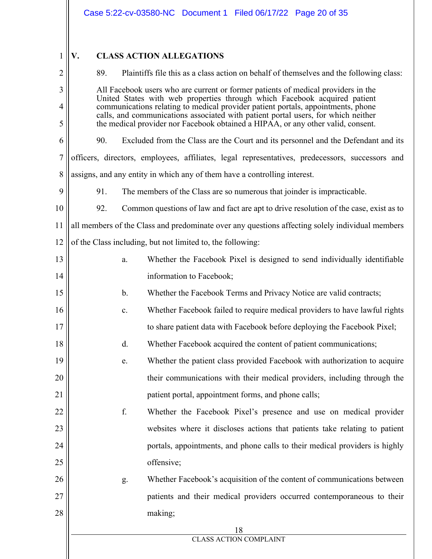$1 || \mathbf{V}.$ 

# **V. CLASS ACTION ALLEGATIONS**

| $\overline{2}$ | Plaintiffs file this as a class action on behalf of themselves and the following class:<br>89.                                                                |    |                                                                                                                                                                       |  |
|----------------|---------------------------------------------------------------------------------------------------------------------------------------------------------------|----|-----------------------------------------------------------------------------------------------------------------------------------------------------------------------|--|
| 3              | All Facebook users who are current or former patients of medical providers in the                                                                             |    |                                                                                                                                                                       |  |
| $\overline{4}$ | United States with web properties through which Facebook acquired patient<br>communications relating to medical provider patient portals, appointments, phone |    |                                                                                                                                                                       |  |
| 5              |                                                                                                                                                               |    | calls, and communications associated with patient portal users, for which neither<br>the medical provider nor Facebook obtained a HIPAA, or any other valid, consent. |  |
| 6              | 90.                                                                                                                                                           |    | Excluded from the Class are the Court and its personnel and the Defendant and its                                                                                     |  |
| $\tau$         |                                                                                                                                                               |    | officers, directors, employees, affiliates, legal representatives, predecessors, successors and                                                                       |  |
| $\,$ $\,$      |                                                                                                                                                               |    | assigns, and any entity in which any of them have a controlling interest.                                                                                             |  |
| 9              | 91.                                                                                                                                                           |    | The members of the Class are so numerous that joinder is impracticable.                                                                                               |  |
| 10             | 92.                                                                                                                                                           |    | Common questions of law and fact are apt to drive resolution of the case, exist as to                                                                                 |  |
| 11             |                                                                                                                                                               |    | all members of the Class and predominate over any questions affecting solely individual members                                                                       |  |
| 12             |                                                                                                                                                               |    | of the Class including, but not limited to, the following:                                                                                                            |  |
| 13             |                                                                                                                                                               | a. | Whether the Facebook Pixel is designed to send individually identifiable                                                                                              |  |
| 14             | information to Facebook;                                                                                                                                      |    |                                                                                                                                                                       |  |
| 15             |                                                                                                                                                               | b. | Whether the Facebook Terms and Privacy Notice are valid contracts;                                                                                                    |  |
| 16             |                                                                                                                                                               | c. | Whether Facebook failed to require medical providers to have lawful rights                                                                                            |  |
| 17             |                                                                                                                                                               |    | to share patient data with Facebook before deploying the Facebook Pixel;                                                                                              |  |
| 18             | d.<br>Whether Facebook acquired the content of patient communications;                                                                                        |    |                                                                                                                                                                       |  |
| 19             | Whether the patient class provided Facebook with authorization to acquire<br>e.                                                                               |    |                                                                                                                                                                       |  |
| 20             | their communications with their medical providers, including through the                                                                                      |    |                                                                                                                                                                       |  |
| 21             |                                                                                                                                                               |    | patient portal, appointment forms, and phone calls;                                                                                                                   |  |
| 22             | f.<br>Whether the Facebook Pixel's presence and use on medical provider                                                                                       |    |                                                                                                                                                                       |  |
| 23             | websites where it discloses actions that patients take relating to patient                                                                                    |    |                                                                                                                                                                       |  |
| 24             | portals, appointments, and phone calls to their medical providers is highly                                                                                   |    |                                                                                                                                                                       |  |
| 25             | offensive;                                                                                                                                                    |    |                                                                                                                                                                       |  |
| 26             | Whether Facebook's acquisition of the content of communications between<br>g.                                                                                 |    |                                                                                                                                                                       |  |
| 27             | patients and their medical providers occurred contemporaneous to their                                                                                        |    |                                                                                                                                                                       |  |
| 28             |                                                                                                                                                               |    | making;                                                                                                                                                               |  |
|                | 18<br><b>CLASS ACTION COMPLAINT</b>                                                                                                                           |    |                                                                                                                                                                       |  |
|                |                                                                                                                                                               |    |                                                                                                                                                                       |  |
|                |                                                                                                                                                               |    |                                                                                                                                                                       |  |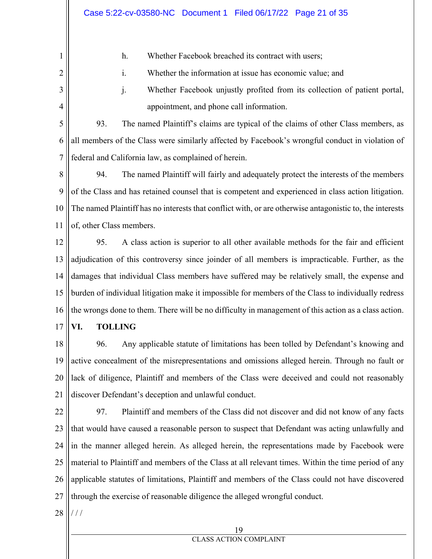h. Whether Facebook breached its contract with users;

1

2

3

4

i. Whether the information at issue has economic value; and

j. Whether Facebook unjustly profited from its collection of patient portal, appointment, and phone call information.

5 6 7 93. The named Plaintiff's claims are typical of the claims of other Class members, as all members of the Class were similarly affected by Facebook's wrongful conduct in violation of federal and California law, as complained of herein.

8 9 10 11 94. The named Plaintiff will fairly and adequately protect the interests of the members of the Class and has retained counsel that is competent and experienced in class action litigation. The named Plaintiff has no interests that conflict with, or are otherwise antagonistic to, the interests of, other Class members.

12 13 14 15 16 95. A class action is superior to all other available methods for the fair and efficient adjudication of this controversy since joinder of all members is impracticable. Further, as the damages that individual Class members have suffered may be relatively small, the expense and burden of individual litigation make it impossible for members of the Class to individually redress the wrongs done to them. There will be no difficulty in management of this action as a class action.

17 **VI. TOLLING** 

18 19 20 21 96. Any applicable statute of limitations has been tolled by Defendant's knowing and active concealment of the misrepresentations and omissions alleged herein. Through no fault or lack of diligence, Plaintiff and members of the Class were deceived and could not reasonably discover Defendant's deception and unlawful conduct.

22 23 24 25 26 27 97. Plaintiff and members of the Class did not discover and did not know of any facts that would have caused a reasonable person to suspect that Defendant was acting unlawfully and in the manner alleged herein. As alleged herein, the representations made by Facebook were material to Plaintiff and members of the Class at all relevant times. Within the time period of any applicable statutes of limitations, Plaintiff and members of the Class could not have discovered through the exercise of reasonable diligence the alleged wrongful conduct.

28 / / /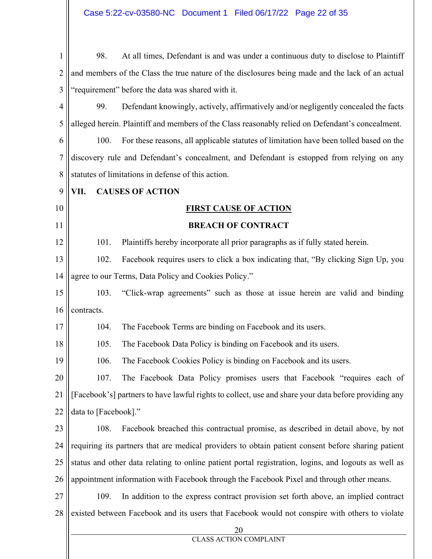1 2 3 4 5 6 7 8 9 10 11 12 13 14 15 16 17 18 19 20 21 22 23 24 25 26 27 28 20 CLASS ACTION COMPLAINT 98. At all times, Defendant is and was under a continuous duty to disclose to Plaintiff and members of the Class the true nature of the disclosures being made and the lack of an actual "requirement" before the data was shared with it. 99. Defendant knowingly, actively, affirmatively and/or negligently concealed the facts alleged herein. Plaintiff and members of the Class reasonably relied on Defendant's concealment. 100. For these reasons, all applicable statutes of limitation have been tolled based on the discovery rule and Defendant's concealment, and Defendant is estopped from relying on any statutes of limitations in defense of this action. **VII. CAUSES OF ACTION FIRST CAUSE OF ACTION BREACH OF CONTRACT**  101. Plaintiffs hereby incorporate all prior paragraphs as if fully stated herein. 102. Facebook requires users to click a box indicating that, "By clicking Sign Up, you agree to our Terms, Data Policy and Cookies Policy." 103. "Click-wrap agreements" such as those at issue herein are valid and binding contracts. 104. The Facebook Terms are binding on Facebook and its users. 105. The Facebook Data Policy is binding on Facebook and its users. 106. The Facebook Cookies Policy is binding on Facebook and its users. 107. The Facebook Data Policy promises users that Facebook "requires each of [Facebook's] partners to have lawful rights to collect, use and share your data before providing any data to [Facebook]." 108. Facebook breached this contractual promise, as described in detail above, by not requiring its partners that are medical providers to obtain patient consent before sharing patient status and other data relating to online patient portal registration, logins, and logouts as well as appointment information with Facebook through the Facebook Pixel and through other means. 109. In addition to the express contract provision set forth above, an implied contract existed between Facebook and its users that Facebook would not conspire with others to violate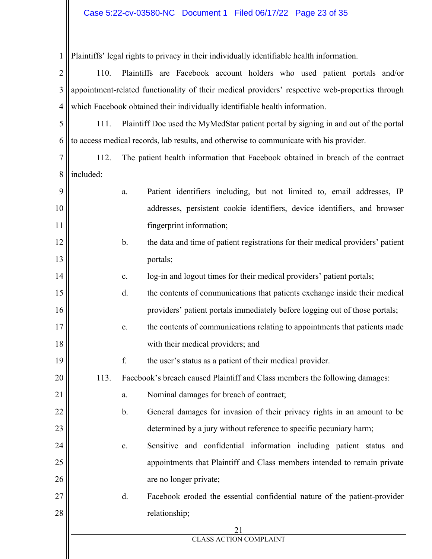## Case 5:22-cv-03580-NC Document 1 Filed 06/17/22 Page 23 of 35

1 Plaintiffs' legal rights to privacy in their individually identifiable health information.

2 3 4 110. Plaintiffs are Facebook account holders who used patient portals and/or appointment-related functionality of their medical providers' respective web-properties through which Facebook obtained their individually identifiable health information.

5 6 111. Plaintiff Doe used the MyMedStar patient portal by signing in and out of the portal to access medical records, lab results, and otherwise to communicate with his provider.

7 8 112. The patient health information that Facebook obtained in breach of the contract included:

 $\sim$  11

| 9  |      | a.            | Patient identifiers including, but not limited to, email addresses, IP          |  |  |
|----|------|---------------|---------------------------------------------------------------------------------|--|--|
| 10 |      |               | addresses, persistent cookie identifiers, device identifiers, and browser       |  |  |
| 11 |      |               | fingerprint information;                                                        |  |  |
| 12 |      | $\mathbf b$ . | the data and time of patient registrations for their medical providers' patient |  |  |
| 13 |      |               | portals;                                                                        |  |  |
| 14 |      | $\mathbf{c}.$ | log-in and logout times for their medical providers' patient portals;           |  |  |
| 15 |      | d.            | the contents of communications that patients exchange inside their medical      |  |  |
| 16 |      |               | providers' patient portals immediately before logging out of those portals;     |  |  |
| 17 |      | e.            | the contents of communications relating to appointments that patients made      |  |  |
| 18 |      |               | with their medical providers; and                                               |  |  |
| 19 |      | f.            | the user's status as a patient of their medical provider.                       |  |  |
| 20 | 113. |               | Facebook's breach caused Plaintiff and Class members the following damages:     |  |  |
| 21 |      | a.            | Nominal damages for breach of contract;                                         |  |  |
| 22 |      | b.            | General damages for invasion of their privacy rights in an amount to be         |  |  |
| 23 |      |               | determined by a jury without reference to specific pecuniary harm;              |  |  |
| 24 |      | $\mathbf{c}.$ | Sensitive and confidential information including patient status and             |  |  |
| 25 |      |               | appointments that Plaintiff and Class members intended to remain private        |  |  |
| 26 |      |               | are no longer private;                                                          |  |  |
| 27 |      | d.            | Facebook eroded the essential confidential nature of the patient-provider       |  |  |
| 28 |      |               | relationship;                                                                   |  |  |
|    |      |               | 21                                                                              |  |  |
|    |      |               | <b>CLASS ACTION COMPLAINT</b>                                                   |  |  |
|    |      |               |                                                                                 |  |  |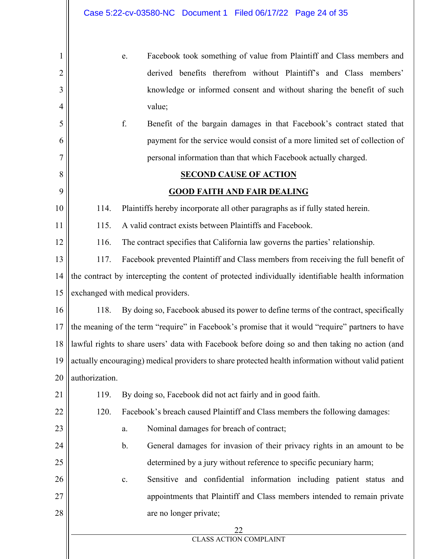|                | Case 5:22-cv-03580-NC Document 1 Filed 06/17/22 Page 24 of 35                                       |  |  |  |
|----------------|-----------------------------------------------------------------------------------------------------|--|--|--|
| 1              | Facebook took something of value from Plaintiff and Class members and<br>e.                         |  |  |  |
| $\overline{c}$ | derived benefits therefrom without Plaintiff's and Class members'                                   |  |  |  |
| 3              | knowledge or informed consent and without sharing the benefit of such                               |  |  |  |
| 4              | value;                                                                                              |  |  |  |
| 5              | f.<br>Benefit of the bargain damages in that Facebook's contract stated that                        |  |  |  |
| 6              | payment for the service would consist of a more limited set of collection of                        |  |  |  |
| 7              | personal information than that which Facebook actually charged.                                     |  |  |  |
| 8              | <b>SECOND CAUSE OF ACTION</b>                                                                       |  |  |  |
| 9              | <b>GOOD FAITH AND FAIR DEALING</b>                                                                  |  |  |  |
| 10             | Plaintiffs hereby incorporate all other paragraphs as if fully stated herein.<br>114.               |  |  |  |
| 11             | A valid contract exists between Plaintiffs and Facebook.<br>115.                                    |  |  |  |
| 12             | 116.<br>The contract specifies that California law governs the parties' relationship.               |  |  |  |
| 13             | 117.<br>Facebook prevented Plaintiff and Class members from receiving the full benefit of           |  |  |  |
| 14             | the contract by intercepting the content of protected individually identifiable health information  |  |  |  |
| 15             | exchanged with medical providers.                                                                   |  |  |  |
| 16             | By doing so, Facebook abused its power to define terms of the contract, specifically<br>118.        |  |  |  |
| 17             | the meaning of the term "require" in Facebook's promise that it would "require" partners to have    |  |  |  |
| 18             | lawful rights to share users' data with Facebook before doing so and then taking no action (and     |  |  |  |
| 19             | actually encouraging) medical providers to share protected health information without valid patient |  |  |  |
| 20             | authorization.                                                                                      |  |  |  |
| 21             | By doing so, Facebook did not act fairly and in good faith.<br>119.                                 |  |  |  |
| 22             | 120.<br>Facebook's breach caused Plaintiff and Class members the following damages:                 |  |  |  |
| 23             | Nominal damages for breach of contract;<br>a.                                                       |  |  |  |
| 24             | General damages for invasion of their privacy rights in an amount to be<br>b.                       |  |  |  |
| 25             | determined by a jury without reference to specific pecuniary harm;                                  |  |  |  |
| 26             | Sensitive and confidential information including patient status and<br>$\mathbf{c}.$                |  |  |  |
| 27             | appointments that Plaintiff and Class members intended to remain private                            |  |  |  |
| 28             | are no longer private;                                                                              |  |  |  |
|                | 22<br><b>CLASS ACTION COMPLAINT</b>                                                                 |  |  |  |
|                |                                                                                                     |  |  |  |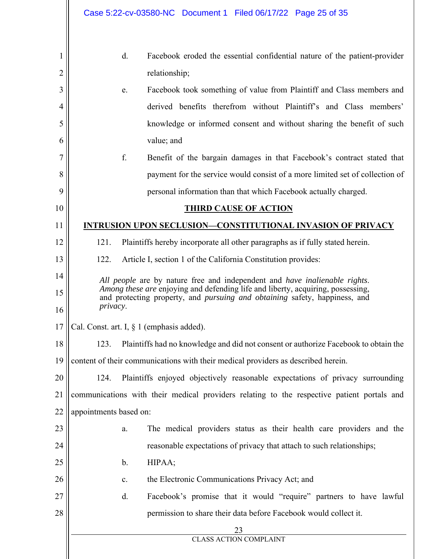|    | Case 5:22-cv-03580-NC Document 1 Filed 06/17/22 Page 25 of 35                                                                                                                    |  |  |  |
|----|----------------------------------------------------------------------------------------------------------------------------------------------------------------------------------|--|--|--|
|    |                                                                                                                                                                                  |  |  |  |
| I  | d.<br>Facebook eroded the essential confidential nature of the patient-provider                                                                                                  |  |  |  |
| 2  | relationship;                                                                                                                                                                    |  |  |  |
| 3  | Facebook took something of value from Plaintiff and Class members and<br>e.                                                                                                      |  |  |  |
| 4  | derived benefits therefrom without Plaintiff's and Class members'                                                                                                                |  |  |  |
| 5  | knowledge or informed consent and without sharing the benefit of such                                                                                                            |  |  |  |
| 6  | value; and                                                                                                                                                                       |  |  |  |
| 7  | f.<br>Benefit of the bargain damages in that Facebook's contract stated that                                                                                                     |  |  |  |
| 8  | payment for the service would consist of a more limited set of collection of                                                                                                     |  |  |  |
| 9  | personal information than that which Facebook actually charged.                                                                                                                  |  |  |  |
| 10 | <b>THIRD CAUSE OF ACTION</b>                                                                                                                                                     |  |  |  |
| 11 | <b>INTRUSION UPON SECLUSION-CONSTITUTIONAL INVASION OF PRIVACY</b>                                                                                                               |  |  |  |
| 12 | 121.<br>Plaintiffs hereby incorporate all other paragraphs as if fully stated herein.                                                                                            |  |  |  |
| 13 | 122.<br>Article I, section 1 of the California Constitution provides:                                                                                                            |  |  |  |
| 14 | All people are by nature free and independent and have inalienable rights.                                                                                                       |  |  |  |
| 15 | Among these are enjoying and defending life and liberty, acquiring, possessing,<br>and protecting property, and <i>pursuing and obtaining</i> safety, happiness, and<br>privacy. |  |  |  |
| 16 |                                                                                                                                                                                  |  |  |  |
| 17 | Cal. Const. art. I, § 1 (emphasis added).                                                                                                                                        |  |  |  |
| 18 | Plaintiffs had no knowledge and did not consent or authorize Facebook to obtain the<br>123.                                                                                      |  |  |  |
| 19 | content of their communications with their medical providers as described herein.                                                                                                |  |  |  |
| 20 | Plaintiffs enjoyed objectively reasonable expectations of privacy surrounding<br>124.                                                                                            |  |  |  |
| 21 | communications with their medical providers relating to the respective patient portals and                                                                                       |  |  |  |
| 22 | appointments based on:                                                                                                                                                           |  |  |  |
| 23 | The medical providers status as their health care providers and the<br>a.                                                                                                        |  |  |  |
| 24 | reasonable expectations of privacy that attach to such relationships;                                                                                                            |  |  |  |
| 25 | HIPAA;<br>b.                                                                                                                                                                     |  |  |  |
| 26 | the Electronic Communications Privacy Act; and<br>$\mathbf{c}.$                                                                                                                  |  |  |  |
| 27 | Facebook's promise that it would "require" partners to have lawful<br>d.                                                                                                         |  |  |  |
| 28 | permission to share their data before Facebook would collect it.                                                                                                                 |  |  |  |
|    | 23<br><b>CLASS ACTION COMPLAINT</b>                                                                                                                                              |  |  |  |
|    |                                                                                                                                                                                  |  |  |  |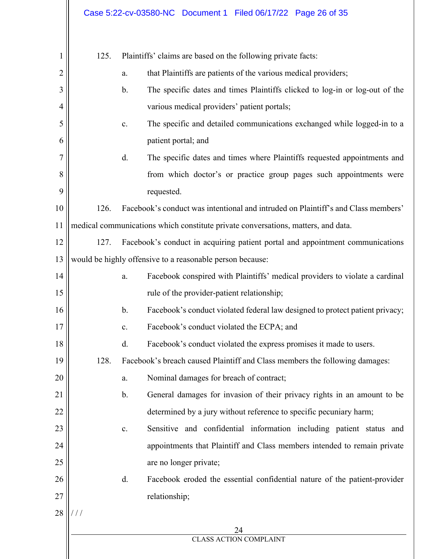|    |                                                                                     |                                                                                               | Case 5:22-cv-03580-NC Document 1 Filed 06/17/22 Page 26 of 35                     |  |
|----|-------------------------------------------------------------------------------------|-----------------------------------------------------------------------------------------------|-----------------------------------------------------------------------------------|--|
| 1  | 125.                                                                                |                                                                                               | Plaintiffs' claims are based on the following private facts:                      |  |
| 2  |                                                                                     | a.                                                                                            | that Plaintiffs are patients of the various medical providers;                    |  |
| 3  |                                                                                     | $\mathbf b$ .                                                                                 | The specific dates and times Plaintiffs clicked to log-in or log-out of the       |  |
| 4  |                                                                                     |                                                                                               | various medical providers' patient portals;                                       |  |
| 5  |                                                                                     | c.                                                                                            | The specific and detailed communications exchanged while logged-in to a           |  |
| 6  |                                                                                     |                                                                                               | patient portal; and                                                               |  |
| 7  |                                                                                     | d.                                                                                            | The specific dates and times where Plaintiffs requested appointments and          |  |
| 8  |                                                                                     |                                                                                               | from which doctor's or practice group pages such appointments were                |  |
| 9  |                                                                                     |                                                                                               | requested.                                                                        |  |
| 10 | 126.                                                                                |                                                                                               | Facebook's conduct was intentional and intruded on Plaintiff's and Class members' |  |
| 11 | medical communications which constitute private conversations, matters, and data.   |                                                                                               |                                                                                   |  |
| 12 | 127.                                                                                |                                                                                               | Facebook's conduct in acquiring patient portal and appointment communications     |  |
| 13 | would be highly offensive to a reasonable person because:                           |                                                                                               |                                                                                   |  |
| 14 |                                                                                     | Facebook conspired with Plaintiffs' medical providers to violate a cardinal<br>a.             |                                                                                   |  |
| 15 |                                                                                     | rule of the provider-patient relationship;                                                    |                                                                                   |  |
| 16 |                                                                                     | Facebook's conduct violated federal law designed to protect patient privacy;<br>$\mathbf b$ . |                                                                                   |  |
| 17 |                                                                                     | Facebook's conduct violated the ECPA; and<br>c.                                               |                                                                                   |  |
| 18 |                                                                                     | Facebook's conduct violated the express promises it made to users.<br>d.                      |                                                                                   |  |
| 19 | 128.<br>Facebook's breach caused Plaintiff and Class members the following damages: |                                                                                               |                                                                                   |  |
| 20 |                                                                                     | a.                                                                                            | Nominal damages for breach of contract;                                           |  |
| 21 | General damages for invasion of their privacy rights in an amount to be<br>b.       |                                                                                               |                                                                                   |  |
| 22 | determined by a jury without reference to specific pecuniary harm;                  |                                                                                               |                                                                                   |  |
| 23 |                                                                                     | c.                                                                                            | Sensitive and confidential information including patient status and               |  |
| 24 | appointments that Plaintiff and Class members intended to remain private            |                                                                                               |                                                                                   |  |
| 25 | are no longer private;                                                              |                                                                                               |                                                                                   |  |
| 26 |                                                                                     | d.                                                                                            | Facebook eroded the essential confidential nature of the patient-provider         |  |
| 27 |                                                                                     |                                                                                               | relationship;                                                                     |  |
| 28 | ///                                                                                 |                                                                                               |                                                                                   |  |
|    |                                                                                     |                                                                                               | 24<br><b>CLASS ACTION COMPLAINT</b>                                               |  |
|    |                                                                                     |                                                                                               |                                                                                   |  |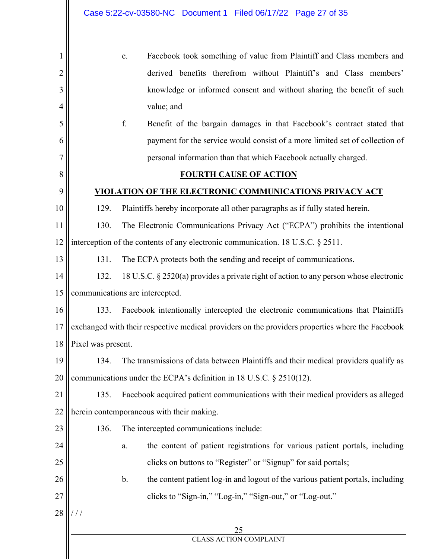|                |                                                                                                  | Case 5:22-cv-03580-NC  Document 1  Filed 06/17/22  Page 27 of 35                         |  |  |
|----------------|--------------------------------------------------------------------------------------------------|------------------------------------------------------------------------------------------|--|--|
|                |                                                                                                  |                                                                                          |  |  |
| 1              |                                                                                                  | Facebook took something of value from Plaintiff and Class members and<br>e.              |  |  |
| $\overline{c}$ |                                                                                                  | derived benefits therefrom without Plaintiff's and Class members'                        |  |  |
| 3              |                                                                                                  | knowledge or informed consent and without sharing the benefit of such                    |  |  |
| 4              |                                                                                                  | value; and                                                                               |  |  |
| 5              |                                                                                                  | f.<br>Benefit of the bargain damages in that Facebook's contract stated that             |  |  |
| 6              |                                                                                                  | payment for the service would consist of a more limited set of collection of             |  |  |
| 7              |                                                                                                  | personal information than that which Facebook actually charged.                          |  |  |
| 8              |                                                                                                  | <b>FOURTH CAUSE OF ACTION</b>                                                            |  |  |
| 9              |                                                                                                  | VIOLATION OF THE ELECTRONIC COMMUNICATIONS PRIVACY ACT                                   |  |  |
| 10             | 129.                                                                                             | Plaintiffs hereby incorporate all other paragraphs as if fully stated herein.            |  |  |
| 11             | 130.                                                                                             | The Electronic Communications Privacy Act ("ECPA") prohibits the intentional             |  |  |
| 12             | interception of the contents of any electronic communication. 18 U.S.C. § 2511.                  |                                                                                          |  |  |
| 13             | 131.                                                                                             | The ECPA protects both the sending and receipt of communications.                        |  |  |
| 14             | 132.                                                                                             | 18 U.S.C. § 2520(a) provides a private right of action to any person whose electronic    |  |  |
| 15             | communications are intercepted.                                                                  |                                                                                          |  |  |
| 16             | Facebook intentionally intercepted the electronic communications that Plaintiffs<br>133.         |                                                                                          |  |  |
| 17             | exchanged with their respective medical providers on the providers properties where the Facebook |                                                                                          |  |  |
| 18             | Pixel was present.                                                                               |                                                                                          |  |  |
| 19             | 134.                                                                                             | The transmissions of data between Plaintiffs and their medical providers qualify as      |  |  |
| 20             |                                                                                                  | communications under the ECPA's definition in 18 U.S.C. § 2510(12).                      |  |  |
| 21             | 135.                                                                                             | Facebook acquired patient communications with their medical providers as alleged         |  |  |
| 22             | herein contemporaneous with their making.                                                        |                                                                                          |  |  |
| 23             | 136.                                                                                             | The intercepted communications include:                                                  |  |  |
| 24             |                                                                                                  | the content of patient registrations for various patient portals, including<br>a.        |  |  |
| 25             |                                                                                                  | clicks on buttons to "Register" or "Signup" for said portals;                            |  |  |
| 26             |                                                                                                  | $b$ .<br>the content patient log-in and logout of the various patient portals, including |  |  |
| 27             |                                                                                                  | clicks to "Sign-in," "Log-in," "Sign-out," or "Log-out."                                 |  |  |
| 28             | 111                                                                                              |                                                                                          |  |  |
|                | 25                                                                                               |                                                                                          |  |  |
|                |                                                                                                  | <b>CLASS ACTION COMPLAINT</b>                                                            |  |  |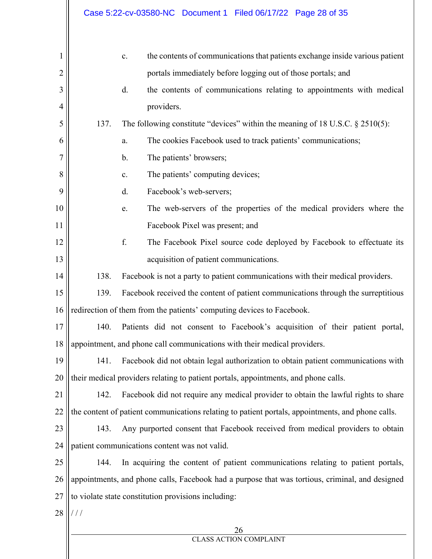|                |                                                                                                   | Case 5:22-cv-03580-NC Document 1 Filed 06/17/22 Page 28 of 35                      |  |
|----------------|---------------------------------------------------------------------------------------------------|------------------------------------------------------------------------------------|--|
| 1              |                                                                                                   | the contents of communications that patients exchange inside various patient<br>c. |  |
| $\overline{2}$ |                                                                                                   | portals immediately before logging out of those portals; and                       |  |
| 3              |                                                                                                   | d.<br>the contents of communications relating to appointments with medical         |  |
| 4              |                                                                                                   | providers.                                                                         |  |
| 5              | 137.                                                                                              | The following constitute "devices" within the meaning of 18 U.S.C. $\S 2510(5)$ :  |  |
| 6              |                                                                                                   | The cookies Facebook used to track patients' communications;<br>a.                 |  |
| 7              |                                                                                                   | The patients' browsers;<br>b.                                                      |  |
| 8              |                                                                                                   | The patients' computing devices;<br>c.                                             |  |
| 9              |                                                                                                   | Facebook's web-servers;<br>d.                                                      |  |
| 10             |                                                                                                   | The web-servers of the properties of the medical providers where the<br>e.         |  |
| 11             |                                                                                                   | Facebook Pixel was present; and                                                    |  |
| 12             |                                                                                                   | f.<br>The Facebook Pixel source code deployed by Facebook to effectuate its        |  |
| 13             |                                                                                                   | acquisition of patient communications.                                             |  |
| 14             | 138.                                                                                              | Facebook is not a party to patient communications with their medical providers.    |  |
| 15             | Facebook received the content of patient communications through the surreptitious<br>139.         |                                                                                    |  |
| 16             |                                                                                                   | redirection of them from the patients' computing devices to Facebook.              |  |
| 17             | Patients did not consent to Facebook's acquisition of their patient portal,<br>140.               |                                                                                    |  |
| 18             | appointment, and phone call communications with their medical providers.                          |                                                                                    |  |
| 19             | Facebook did not obtain legal authorization to obtain patient communications with<br>141.         |                                                                                    |  |
| 20             | their medical providers relating to patient portals, appointments, and phone calls.               |                                                                                    |  |
| 21             | Facebook did not require any medical provider to obtain the lawful rights to share<br>142.        |                                                                                    |  |
| 22             | the content of patient communications relating to patient portals, appointments, and phone calls. |                                                                                    |  |
| 23             | Any purported consent that Facebook received from medical providers to obtain<br>143.             |                                                                                    |  |
| 24             | patient communications content was not valid.                                                     |                                                                                    |  |
| 25             | In acquiring the content of patient communications relating to patient portals,<br>144.           |                                                                                    |  |
| 26             | appointments, and phone calls, Facebook had a purpose that was tortious, criminal, and designed   |                                                                                    |  |
| 27             |                                                                                                   | to violate state constitution provisions including:                                |  |
| 28             | $\frac{1}{2}$                                                                                     |                                                                                    |  |
|                |                                                                                                   | 26                                                                                 |  |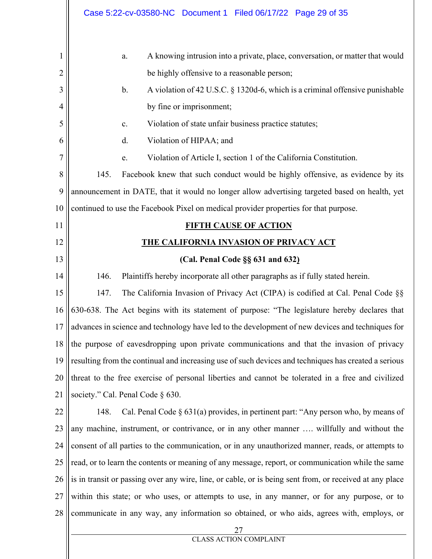|                | Case 5:22-cv-03580-NC Document 1 Filed 06/17/22 Page 29 of 35                                           |  |  |  |  |
|----------------|---------------------------------------------------------------------------------------------------------|--|--|--|--|
| 1              | A knowing intrusion into a private, place, conversation, or matter that would<br>a.                     |  |  |  |  |
| $\overline{2}$ | be highly offensive to a reasonable person;                                                             |  |  |  |  |
| 3              | $\mathbf{b}$ .<br>A violation of 42 U.S.C. § 1320d-6, which is a criminal offensive punishable          |  |  |  |  |
| 4              | by fine or imprisonment;                                                                                |  |  |  |  |
| 5              | Violation of state unfair business practice statutes;<br>$\mathbf{c}$ .                                 |  |  |  |  |
| 6              | d.<br>Violation of HIPAA; and                                                                           |  |  |  |  |
| 7              | Violation of Article I, section 1 of the California Constitution.<br>e.                                 |  |  |  |  |
| 8              | 145.<br>Facebook knew that such conduct would be highly offensive, as evidence by its                   |  |  |  |  |
| 9              | announcement in DATE, that it would no longer allow advertising targeted based on health, yet           |  |  |  |  |
| 10             | continued to use the Facebook Pixel on medical provider properties for that purpose.                    |  |  |  |  |
| 11             | <b>FIFTH CAUSE OF ACTION</b>                                                                            |  |  |  |  |
| 12             | <b>THE CALIFORNIA INVASION OF PRIVACY ACT</b>                                                           |  |  |  |  |
| 13             | (Cal. Penal Code §§ 631 and 632)                                                                        |  |  |  |  |
| 14             | 146.<br>Plaintiffs hereby incorporate all other paragraphs as if fully stated herein.                   |  |  |  |  |
| 15             | 147.<br>The California Invasion of Privacy Act (CIPA) is codified at Cal. Penal Code §§                 |  |  |  |  |
| 16             | 630-638. The Act begins with its statement of purpose: "The legislature hereby declares that            |  |  |  |  |
| 17             | advances in science and technology have led to the development of new devices and techniques for        |  |  |  |  |
| 18             | the purpose of eavesdropping upon private communications and that the invasion of privacy               |  |  |  |  |
| 19             | resulting from the continual and increasing use of such devices and techniques has created a serious    |  |  |  |  |
| 20             | threat to the free exercise of personal liberties and cannot be tolerated in a free and civilized       |  |  |  |  |
| 21             | society." Cal. Penal Code § 630.                                                                        |  |  |  |  |
| 22             | Cal. Penal Code $\S 631(a)$ provides, in pertinent part: "Any person who, by means of<br>148.           |  |  |  |  |
| 23             | any machine, instrument, or contrivance, or in any other manner  willfully and without the              |  |  |  |  |
| 24             | consent of all parties to the communication, or in any unauthorized manner, reads, or attempts to       |  |  |  |  |
| 25             | read, or to learn the contents or meaning of any message, report, or communication while the same       |  |  |  |  |
| 26             | is in transit or passing over any wire, line, or cable, or is being sent from, or received at any place |  |  |  |  |
| 27             | within this state; or who uses, or attempts to use, in any manner, or for any purpose, or to            |  |  |  |  |
| 28             | communicate in any way, any information so obtained, or who aids, agrees with, employs, or              |  |  |  |  |
|                | 27                                                                                                      |  |  |  |  |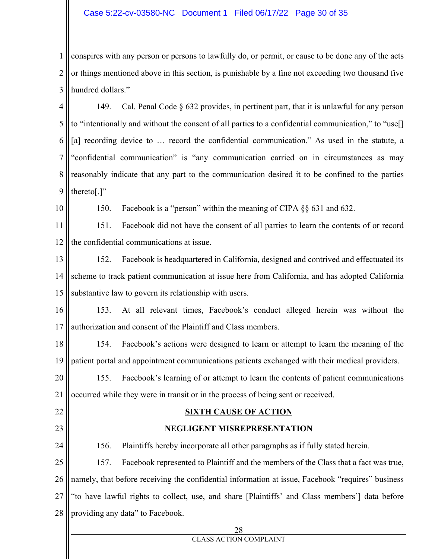## Case 5:22-cv-03580-NC Document 1 Filed 06/17/22 Page 30 of 35

1 2 3 conspires with any person or persons to lawfully do, or permit, or cause to be done any of the acts or things mentioned above in this section, is punishable by a fine not exceeding two thousand five hundred dollars."

4 5 6 7 8 9 149. Cal. Penal Code § 632 provides, in pertinent part, that it is unlawful for any person to "intentionally and without the consent of all parties to a confidential communication," to "use[] [a] recording device to ... record the confidential communication." As used in the statute, a "confidential communication" is "any communication carried on in circumstances as may reasonably indicate that any part to the communication desired it to be confined to the parties thereto[.]"

10

150. Facebook is a "person" within the meaning of CIPA §§ 631 and 632.

11 12 151. Facebook did not have the consent of all parties to learn the contents of or record the confidential communications at issue.

13 14 15 152. Facebook is headquartered in California, designed and contrived and effectuated its scheme to track patient communication at issue here from California, and has adopted California substantive law to govern its relationship with users.

16 17 153. At all relevant times, Facebook's conduct alleged herein was without the authorization and consent of the Plaintiff and Class members.

18 19 154. Facebook's actions were designed to learn or attempt to learn the meaning of the patient portal and appointment communications patients exchanged with their medical providers.

20 21 155. Facebook's learning of or attempt to learn the contents of patient communications occurred while they were in transit or in the process of being sent or received.

## 22 23

24

## **SIXTH CAUSE OF ACTION**

### **NEGLIGENT MISREPRESENTATION**

156. Plaintiffs hereby incorporate all other paragraphs as if fully stated herein.

25 26 27 28 157. Facebook represented to Plaintiff and the members of the Class that a fact was true, namely, that before receiving the confidential information at issue, Facebook "requires" business "to have lawful rights to collect, use, and share [Plaintiffs' and Class members'] data before providing any data" to Facebook.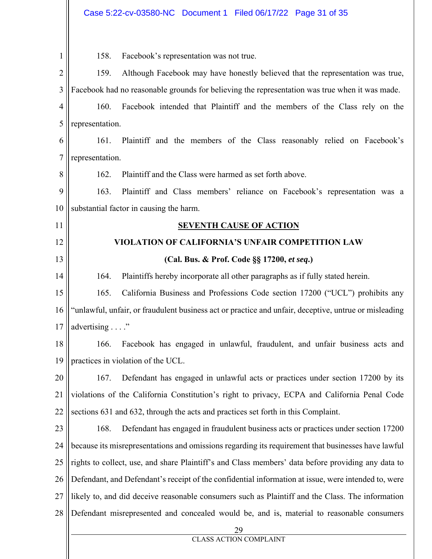| $\mathbf{1}$   | 158.                                                                                                  | Facebook's representation was not true.                                                   |  |  |
|----------------|-------------------------------------------------------------------------------------------------------|-------------------------------------------------------------------------------------------|--|--|
| $\overline{2}$ | 159.                                                                                                  | Although Facebook may have honestly believed that the representation was true,            |  |  |
| 3              | Facebook had no reasonable grounds for believing the representation was true when it was made.        |                                                                                           |  |  |
| $\overline{4}$ | 160.<br>Facebook intended that Plaintiff and the members of the Class rely on the                     |                                                                                           |  |  |
| 5              | representation.                                                                                       |                                                                                           |  |  |
| 6              | Plaintiff and the members of the Class reasonably relied on Facebook's<br>161.                        |                                                                                           |  |  |
| $\overline{7}$ | representation.                                                                                       |                                                                                           |  |  |
| 8              | 162.                                                                                                  | Plaintiff and the Class were harmed as set forth above.                                   |  |  |
| 9              | 163.                                                                                                  | Plaintiff and Class members' reliance on Facebook's representation was a                  |  |  |
| 10             |                                                                                                       | substantial factor in causing the harm.                                                   |  |  |
| 11             |                                                                                                       | <b>SEVENTH CAUSE OF ACTION</b>                                                            |  |  |
| 12             |                                                                                                       | VIOLATION OF CALIFORNIA'S UNFAIR COMPETITION LAW                                          |  |  |
| 13             |                                                                                                       | (Cal. Bus. & Prof. Code §§ 17200, et seq.)                                                |  |  |
| 14             | 164.                                                                                                  | Plaintiffs hereby incorporate all other paragraphs as if fully stated herein.             |  |  |
| 15             | 165.                                                                                                  | California Business and Professions Code section 17200 ("UCL") prohibits any              |  |  |
| 16             | "unlawful, unfair, or fraudulent business act or practice and unfair, deceptive, untrue or misleading |                                                                                           |  |  |
| 17             | advertising"                                                                                          |                                                                                           |  |  |
| 18             | 166.                                                                                                  | Facebook has engaged in unlawful, fraudulent, and unfair business acts and                |  |  |
| 19             |                                                                                                       | practices in violation of the UCL.                                                        |  |  |
| 20             | 167.                                                                                                  | Defendant has engaged in unlawful acts or practices under section 17200 by its            |  |  |
| 21             | violations of the California Constitution's right to privacy, ECPA and California Penal Code          |                                                                                           |  |  |
| 22             | sections 631 and 632, through the acts and practices set forth in this Complaint.                     |                                                                                           |  |  |
| 23             | 168.                                                                                                  | Defendant has engaged in fraudulent business acts or practices under section 17200        |  |  |
| 24             | because its misrepresentations and omissions regarding its requirement that businesses have lawful    |                                                                                           |  |  |
| 25             | rights to collect, use, and share Plaintiff's and Class members' data before providing any data to    |                                                                                           |  |  |
| 26             | Defendant, and Defendant's receipt of the confidential information at issue, were intended to, were   |                                                                                           |  |  |
| 27             | likely to, and did deceive reasonable consumers such as Plaintiff and the Class. The information      |                                                                                           |  |  |
| 28             |                                                                                                       | Defendant misrepresented and concealed would be, and is, material to reasonable consumers |  |  |
|                |                                                                                                       | <b>CLASS ACTION COMPLAINT</b>                                                             |  |  |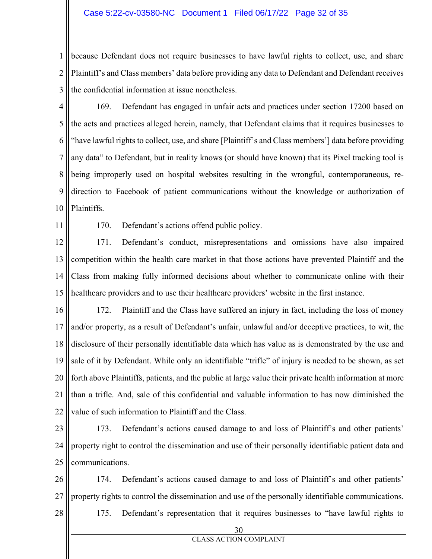#### Case 5:22-cv-03580-NC Document 1 Filed 06/17/22 Page 32 of 35

1 2 3 because Defendant does not require businesses to have lawful rights to collect, use, and share Plaintiff's and Class members' data before providing any data to Defendant and Defendant receives the confidential information at issue nonetheless.

4 5 6 7 8 9 10 169. Defendant has engaged in unfair acts and practices under section 17200 based on the acts and practices alleged herein, namely, that Defendant claims that it requires businesses to "have lawful rights to collect, use, and share [Plaintiff's and Class members'] data before providing any data" to Defendant, but in reality knows (or should have known) that its Pixel tracking tool is being improperly used on hospital websites resulting in the wrongful, contemporaneous, redirection to Facebook of patient communications without the knowledge or authorization of Plaintiffs.

11

170. Defendant's actions offend public policy.

12 13 14 15 171. Defendant's conduct, misrepresentations and omissions have also impaired competition within the health care market in that those actions have prevented Plaintiff and the Class from making fully informed decisions about whether to communicate online with their healthcare providers and to use their healthcare providers' website in the first instance.

16 17 18 19 20 21 22 172. Plaintiff and the Class have suffered an injury in fact, including the loss of money and/or property, as a result of Defendant's unfair, unlawful and/or deceptive practices, to wit, the disclosure of their personally identifiable data which has value as is demonstrated by the use and sale of it by Defendant. While only an identifiable "trifle" of injury is needed to be shown, as set forth above Plaintiffs, patients, and the public at large value their private health information at more than a trifle. And, sale of this confidential and valuable information to has now diminished the value of such information to Plaintiff and the Class.

23 24 25 173. Defendant's actions caused damage to and loss of Plaintiff's and other patients' property right to control the dissemination and use of their personally identifiable patient data and communications.

26 27 174. Defendant's actions caused damage to and loss of Plaintiff's and other patients' property rights to control the dissemination and use of the personally identifiable communications. 175. Defendant's representation that it requires businesses to "have lawful rights to

28

30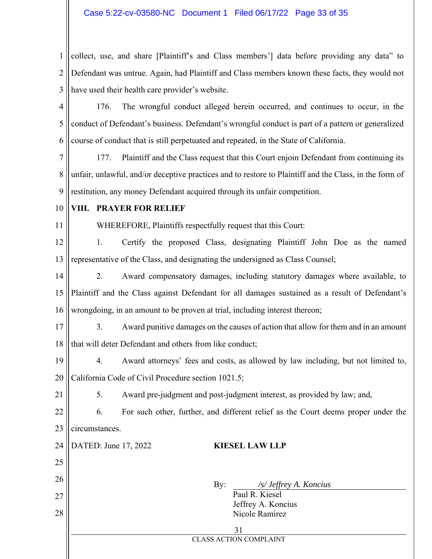1 2 3 collect, use, and share [Plaintiff's and Class members'] data before providing any data" to Defendant was untrue. Again, had Plaintiff and Class members known these facts, they would not have used their health care provider's website.

4 5 6 176. The wrongful conduct alleged herein occurred, and continues to occur, in the conduct of Defendant's business. Defendant's wrongful conduct is part of a pattern or generalized course of conduct that is still perpetuated and repeated, in the State of California.

7 8 9 177. Plaintiff and the Class request that this Court enjoin Defendant from continuing its unfair, unlawful, and/or deceptive practices and to restore to Plaintiff and the Class, in the form of restitution, any money Defendant acquired through its unfair competition.

10

## **VIII. PRAYER FOR RELIEF**

11

21

WHEREFORE, Plaintiffs respectfully request that this Court:

12 13 1. Certify the proposed Class, designating Plaintiff John Doe as the named representative of the Class, and designating the undersigned as Class Counsel;

14 15 16 2. Award compensatory damages, including statutory damages where available, to Plaintiff and the Class against Defendant for all damages sustained as a result of Defendant's wrongdoing, in an amount to be proven at trial, including interest thereon;

17 18 3. Award punitive damages on the causes of action that allow for them and in an amount that will deter Defendant and others from like conduct;

19 20 4. Award attorneys' fees and costs, as allowed by law including, but not limited to, California Code of Civil Procedure section 1021.5;

5. Award pre-judgment and post-judgment interest, as provided by law; and,

22 23 6. For such other, further, and different relief as the Court deems proper under the circumstances.

24 25 26 27 28 31 CLASS ACTION COMPLAINT DATED: June 17, 2022 **KIESEL LAW LLP**  By: */s/ Jeffrey A. Koncius*  Paul R. Kiesel Jeffrey A. Koncius Nicole Ramirez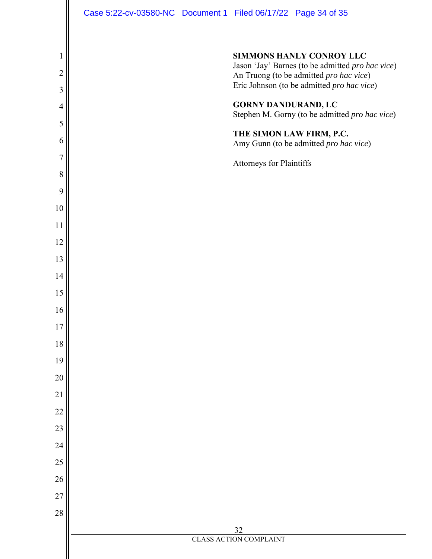|                |  | Case 5:22-cv-03580-NC Document 1 Filed 06/17/22 Page 34 of 35                               |
|----------------|--|---------------------------------------------------------------------------------------------|
|                |  |                                                                                             |
| 1              |  | <b>SIMMONS HANLY CONROY LLC</b>                                                             |
| $\overline{2}$ |  | Jason 'Jay' Barnes (to be admitted pro hac vice)<br>An Truong (to be admitted pro hac vice) |
| 3              |  | Eric Johnson (to be admitted pro hac vice)                                                  |
| $\overline{4}$ |  | <b>GORNY DANDURAND, LC</b><br>Stephen M. Gorny (to be admitted pro hac vice)                |
| 5              |  | THE SIMON LAW FIRM, P.C.                                                                    |
| 6              |  | Amy Gunn (to be admitted pro hac vice)                                                      |
| 7              |  | Attorneys for Plaintiffs                                                                    |
| 8              |  |                                                                                             |
| 9              |  |                                                                                             |
| 10             |  |                                                                                             |
| 11<br>12       |  |                                                                                             |
| 13             |  |                                                                                             |
| 14             |  |                                                                                             |
| 15             |  |                                                                                             |
| 16             |  |                                                                                             |
| 17             |  |                                                                                             |
| $18\,$         |  |                                                                                             |
| 19             |  |                                                                                             |
| $20\,$         |  |                                                                                             |
| 21             |  |                                                                                             |
| 22             |  |                                                                                             |
| 23             |  |                                                                                             |
| 24             |  |                                                                                             |
| $25\,$         |  |                                                                                             |
| 26             |  |                                                                                             |
| $27\,$         |  |                                                                                             |
| $28\,$         |  |                                                                                             |
|                |  | 32                                                                                          |
|                |  | <b>CLASS ACTION COMPLAINT</b>                                                               |